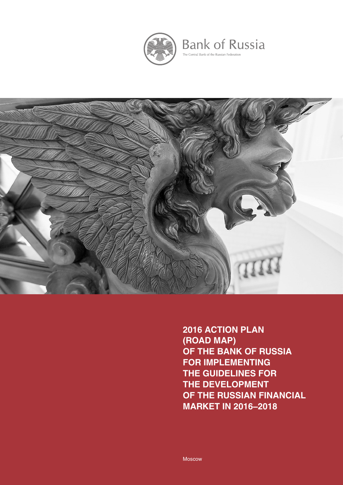

**Bank of Russia** The Central Bank of the Russian Federation



**2016 ACTION PLAN (ROAD MAP) OF THE BANK OF RUSSIA FOR IMPLEMENTING THE GUIDELINES FOR THE DEVELOPMENT OF THE RUSSIAN FINANCIAL MARKET IN 2016–2018**

Moscow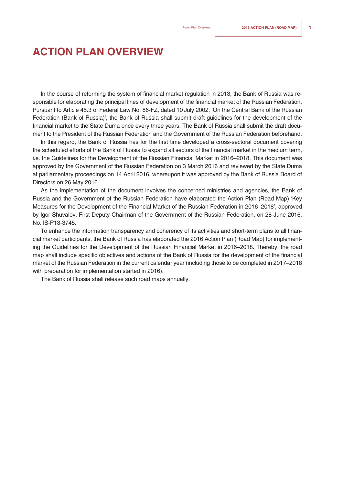## **ACTION PLAN OVERVIEW**

In the course of reforming the system of financial market regulation in 2013, the Bank of Russia was responsible for elaborating the principal lines of development of the financial market of the Russian Federation. Pursuant to Article 45.3 of Federal Law No. 86-FZ, dated 10 July 2002, 'On the Central Bank of the Russian Federation (Bank of Russia)', the Bank of Russia shall submit draft guidelines for the development of the financial market to the State Duma once every three years. The Bank of Russia shall submit the draft document to the President of the Russian Federation and the Government of the Russian Federation beforehand.

In this regard, the Bank of Russia has for the first time developed a cross-sectoral document covering the scheduled efforts of the Bank of Russia to expand all sectors of the financial market in the medium term, i.e. the Guidelines for the Development of the Russian Financial Market in 2016–2018. This document was approved by the Government of the Russian Federation on 3 March 2016 and reviewed by the State Duma at parliamentary proceedings on 14 April 2016, whereupon it was approved by the Bank of Russia Board of Directors on 26 May 2016.

As the implementation of the document involves the concerned ministries and agencies, the Bank of Russia and the Government of the Russian Federation have elaborated the Action Plan (Road Map) 'Key Measures for the Development of the Financial Market of the Russian Federation in 2016–2018', approved by Igor Shuvalov, First Deputy Chairman of the Government of the Russian Federation, on 28 June 2016, No. IS-P13-3745.

To enhance the information transparency and coherency of its activities and short-term plans to all financial market participants, the Bank of Russia has elaborated the 2016 Action Plan (Road Map) for implementing the Guidelines for the Development of the Russian Financial Market in 2016–2018. Thereby, the road map shall include specific objectives and actions of the Bank of Russia for the development of the financial market of the Russian Federation in the current calendar year (including those to be completed in 2017–2018 with preparation for implementation started in 2016).

The Bank of Russia shall release such road maps annually.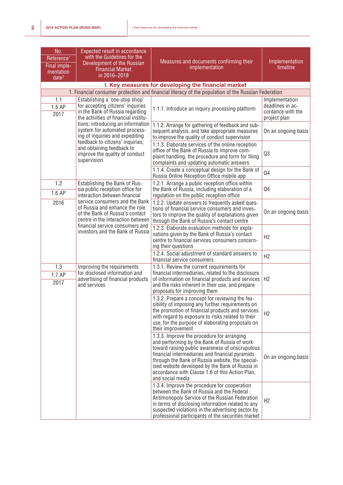| No.<br>Reference <sup>1</sup><br>Final imple-<br>mentation<br>date <sup>2</sup> | Expected result in accordance<br>with the Guidelines for the<br>Development of the Russian<br><b>Financial Market</b><br>in 2016-2018                                                                           | Measures and documents confirming their<br>implementation                                                                                                                                                                                                                                                                                                                      | Implementation<br>timeline                                              |
|---------------------------------------------------------------------------------|-----------------------------------------------------------------------------------------------------------------------------------------------------------------------------------------------------------------|--------------------------------------------------------------------------------------------------------------------------------------------------------------------------------------------------------------------------------------------------------------------------------------------------------------------------------------------------------------------------------|-------------------------------------------------------------------------|
|                                                                                 |                                                                                                                                                                                                                 | I. Key measures for developing the financial market                                                                                                                                                                                                                                                                                                                            |                                                                         |
|                                                                                 |                                                                                                                                                                                                                 | 1. Financial consumer protection and financial literacy of the population of the Russian Federation                                                                                                                                                                                                                                                                            |                                                                         |
| 1.1<br>1.5 AP<br>2017                                                           | Establishing a 'one-stop shop'<br>for accepting citizens' inquiries<br>in the Bank of Russia regarding<br>the activities of financial institu-                                                                  | 1.1.1. Introduce an inquiry processing platform                                                                                                                                                                                                                                                                                                                                | Implementation<br>deadlines in ac-<br>cordance with the<br>project plan |
|                                                                                 | tions; introducing an information<br>system for automated process-<br>ing of inquiries and expediting                                                                                                           | 1.1.2. Arrange for gathering of feedback and sub-<br>sequent analysis, and take appropriate measures<br>to improve the quality of conduct supervision                                                                                                                                                                                                                          | On an ongoing basis                                                     |
|                                                                                 | feedback to citizens' inquiries;<br>and obtaining feedback to<br>improve the quality of conduct<br>supervision                                                                                                  | 1.1.3. Elaborate services of the online reception<br>office of the Bank of Russia to improve com-<br>plaint handling, the procedure and form for filing<br>complaints and updating automatic answers                                                                                                                                                                           | Q3                                                                      |
|                                                                                 |                                                                                                                                                                                                                 | 1.1.4. Create a conceptual design for the Bank of<br>Russia Online Reception Office mobile app                                                                                                                                                                                                                                                                                 | Q4                                                                      |
| 1.2<br>1.6 AP                                                                   | Establishing the Bank of Rus-<br>sia public reception office for<br>interaction between financial                                                                                                               | 1.2.1. Arrange a public reception office within<br>the Bank of Russia, including elaboration of a<br>regulation on the public reception office                                                                                                                                                                                                                                 | Q4                                                                      |
| 2016                                                                            | service consumers and the Bank<br>of Russia and enhance the role<br>of the Bank of Russia's contact<br>centre in the interaction between<br>financial service consumers and<br>investors and the Bank of Russia | 1.2.2. Update answers to frequently asked ques-<br>tions of financial service consumers and inves-<br>tors to improve the quality of explanations given<br>through the Bank of Russia's contact centre                                                                                                                                                                         | On an ongoing basis                                                     |
|                                                                                 |                                                                                                                                                                                                                 | 1.2.3. Elaborate evaluation methods for expla-<br>nations given by the Bank of Russia's contact<br>centre to financial services consumers concern-<br>ing their questions                                                                                                                                                                                                      | H2                                                                      |
|                                                                                 |                                                                                                                                                                                                                 | 1.2.4. Social adjustment of standard answers to<br>financial service consumers                                                                                                                                                                                                                                                                                                 | H <sub>2</sub>                                                          |
| 1.3<br>1.7 AP<br>2017                                                           | Improving the requirements<br>for disclosed information and<br>advertising of financial products<br>and services                                                                                                | 1.3.1. Review the current requirements for<br>financial intermediaries, related to the disclosure<br>of information on financial products and services<br>and the risks inherent in their use, and prepare<br>proposals for improving them                                                                                                                                     | H2                                                                      |
|                                                                                 |                                                                                                                                                                                                                 | 1.3.2. Prepare a concept for reviewing the fea-<br>sibility of imposing any further requirements on<br>the promotion of financial products and services<br>with regard to exposure to risks related to their<br>use, for the purpose of elaborating proposals on<br>their improvement                                                                                          | H2                                                                      |
|                                                                                 |                                                                                                                                                                                                                 | 1.3.3. Improve the procedure for arranging<br>and performing by the Bank of Russia of work<br>toward raising public awareness of unscrupulous<br>financial intermediaries and financial pyramids<br>through the Bank of Russia website, the special-<br>ised website developed by the Bank of Russia in<br>accordance with Clause 1.6 of this Action Plan,<br>and social media | On an ongoing basis                                                     |
|                                                                                 |                                                                                                                                                                                                                 | 1.3.4. Improve the procedure for cooperation<br>between the Bank of Russia and the Federal<br>Antimonopoly Service of the Russian Federation<br>in terms of disclosing information related to any<br>suspected violations in the advertising sector by<br>professional participants of the securities market                                                                   | H2                                                                      |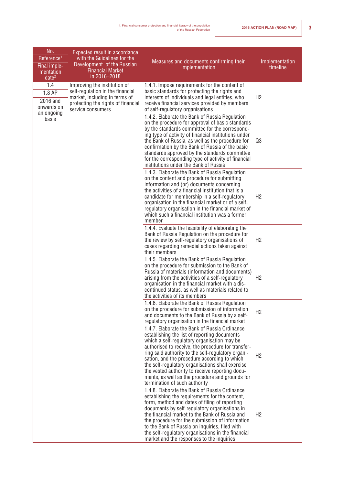| No.<br>Reference <sup>1</sup><br>Final imple-<br>mentation<br>date <sup>2</sup> | Expected result in accordance<br>with the Guidelines for the<br>Development of the Russian<br><b>Financial Market</b><br>in 2016-2018                                                                                                                                                                                                                                                                                                                                                               | Measures and documents confirming their<br>implementation                                                                                                                                                                                                                                                                                                                                                                                                            | Implementation<br>timeline |
|---------------------------------------------------------------------------------|-----------------------------------------------------------------------------------------------------------------------------------------------------------------------------------------------------------------------------------------------------------------------------------------------------------------------------------------------------------------------------------------------------------------------------------------------------------------------------------------------------|----------------------------------------------------------------------------------------------------------------------------------------------------------------------------------------------------------------------------------------------------------------------------------------------------------------------------------------------------------------------------------------------------------------------------------------------------------------------|----------------------------|
| 1.4<br>1.8 AP<br>2016 and<br>onwards on<br>an ongoing                           | Improving the institution of<br>self-regulation in the financial<br>market, including in terms of<br>protecting the rights of financial<br>service consumers                                                                                                                                                                                                                                                                                                                                        | 1.4.1. Impose requirements for the content of<br>basic standards for protecting the rights and<br>interests of individuals and legal entities, who<br>receive financial services provided by members<br>of self-regulatory organisations                                                                                                                                                                                                                             | H <sub>2</sub>             |
| basis                                                                           |                                                                                                                                                                                                                                                                                                                                                                                                                                                                                                     | 1.4.2. Elaborate the Bank of Russia Regulation<br>on the procedure for approval of basic standards<br>by the standards committee for the correspond-<br>ing type of activity of financial institutions under<br>the Bank of Russia, as well as the procedure for<br>confirmation by the Bank of Russia of the basic<br>standards approved by the standards committee<br>for the corresponding type of activity of financial<br>institutions under the Bank of Russia | Q3                         |
|                                                                                 |                                                                                                                                                                                                                                                                                                                                                                                                                                                                                                     | 1.4.3. Elaborate the Bank of Russia Regulation<br>on the content and procedure for submitting<br>information and (or) documents concerning<br>the activities of a financial institution that is a<br>candidate for membership in a self-regulatory<br>organisation in the financial market or of a self-<br>regulatory organisation in the financial market of<br>which such a financial institution was a former<br>member                                          | H <sub>2</sub>             |
|                                                                                 |                                                                                                                                                                                                                                                                                                                                                                                                                                                                                                     | 1.4.4. Evaluate the feasibility of elaborating the<br>Bank of Russia Regulation on the procedure for<br>the review by self-regulatory organisations of<br>cases regarding remedial actions taken against<br>their members                                                                                                                                                                                                                                            | H <sub>2</sub>             |
|                                                                                 |                                                                                                                                                                                                                                                                                                                                                                                                                                                                                                     | 1.4.5. Elaborate the Bank of Russia Regulation<br>on the procedure for submission to the Bank of<br>Russia of materials (information and documents)<br>arising from the activities of a self-regulatory<br>organisation in the financial market with a dis-<br>continued status, as well as materials related to<br>the activities of its members                                                                                                                    | H <sub>2</sub>             |
|                                                                                 |                                                                                                                                                                                                                                                                                                                                                                                                                                                                                                     | 1.4.6. Elaborate the Bank of Russia Regulation<br>on the procedure for submission of information<br>and documents to the Bank of Russia by a self-<br>regulatory organisation in the financial market                                                                                                                                                                                                                                                                | H2                         |
|                                                                                 | 1.4.7. Elaborate the Bank of Russia Ordinance<br>establishing the list of reporting documents<br>which a self-regulatory organisation may be<br>authorised to receive, the procedure for transfer-<br>ring said authority to the self-regulatory organi-<br>sation, and the procedure according to which<br>the self-regulatory organisations shall exercise<br>the vested authority to receive reporting docu-<br>ments, as well as the procedure and grounds for<br>termination of such authority | H <sub>2</sub>                                                                                                                                                                                                                                                                                                                                                                                                                                                       |                            |
|                                                                                 |                                                                                                                                                                                                                                                                                                                                                                                                                                                                                                     | 1.4.8. Elaborate the Bank of Russia Ordinance<br>establishing the requirements for the content,<br>form, method and dates of filing of reporting<br>documents by self-regulatory organisations in<br>the financial market to the Bank of Russia and<br>the procedure for the submission of information<br>to the Bank of Russia on inquiries, filed with<br>the self-regulatory organisations in the financial<br>market and the responses to the inquiries          | H <sub>2</sub>             |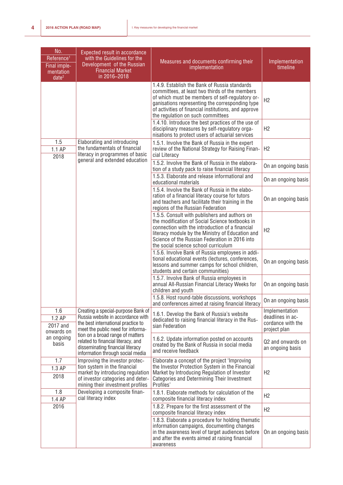| No.<br>Reference <sup>1</sup><br>Final imple-<br>mentation<br>date <sup>2</sup> | Expected result in accordance<br>with the Guidelines for the<br>Development of the Russian<br><b>Financial Market</b><br>in 2016-2018                                                                                                                                                                | Measures and documents confirming their<br>implementation                                                                                                                                                                                                                                          | Implementation<br>timeline                                              |
|---------------------------------------------------------------------------------|------------------------------------------------------------------------------------------------------------------------------------------------------------------------------------------------------------------------------------------------------------------------------------------------------|----------------------------------------------------------------------------------------------------------------------------------------------------------------------------------------------------------------------------------------------------------------------------------------------------|-------------------------------------------------------------------------|
|                                                                                 |                                                                                                                                                                                                                                                                                                      | 1.4.9. Establish the Bank of Russia standards<br>committees, at least two thirds of the members<br>of which must be members of self-regulatory or-<br>ganisations representing the corresponding type<br>of activities of financial institutions, and approve<br>the regulation on such committees | H <sub>2</sub>                                                          |
|                                                                                 |                                                                                                                                                                                                                                                                                                      | 1.4.10. Introduce the best practices of the use of<br>disciplinary measures by self-regulatory orga-<br>nisations to protect users of actuarial services                                                                                                                                           | H <sub>2</sub>                                                          |
| 1.5<br>1.1 AP<br>2018                                                           | Elaborating and introducing<br>the fundamentals of financial<br>literacy in programmes of basic                                                                                                                                                                                                      | 1.5.1. Involve the Bank of Russia in the expert<br>review of the National Strategy for Raising Finan-<br>cial Literacy                                                                                                                                                                             | H2                                                                      |
|                                                                                 | general and extended education                                                                                                                                                                                                                                                                       | 1.5.2. Involve the Bank of Russia in the elabora-<br>tion of a study pack to raise financial literacy                                                                                                                                                                                              | On an ongoing basis                                                     |
|                                                                                 |                                                                                                                                                                                                                                                                                                      | 1.5.3. Elaborate and release informational and<br>educational materials                                                                                                                                                                                                                            | On an ongoing basis                                                     |
|                                                                                 |                                                                                                                                                                                                                                                                                                      | 1.5.4. Involve the Bank of Russia in the elabo-<br>ration of a financial literacy course for tutors<br>and teachers and facilitate their training in the<br>regions of the Russian Federation                                                                                                      | On an ongoing basis                                                     |
|                                                                                 |                                                                                                                                                                                                                                                                                                      | 1.5.5. Consult with publishers and authors on<br>the modification of Social Science textbooks in<br>connection with the introduction of a financial<br>literacy module by the Ministry of Education and<br>Science of the Russian Federation in 2016 into<br>the social science school curriculum  | H2                                                                      |
|                                                                                 |                                                                                                                                                                                                                                                                                                      | 1.5.6. Involve Bank of Russia employees in addi-<br>tional educational events (lectures, conferences,<br>lessons and summer camps for school children,<br>students and certain communities)                                                                                                        | On an ongoing basis                                                     |
|                                                                                 |                                                                                                                                                                                                                                                                                                      | 1.5.7. Involve Bank of Russia employees in<br>annual All-Russian Financial Literacy Weeks for<br>children and youth                                                                                                                                                                                | On an ongoing basis                                                     |
|                                                                                 |                                                                                                                                                                                                                                                                                                      | 1.5.8. Host round-table discussions, workshops<br>and conferences aimed at raising financial literacy                                                                                                                                                                                              | On an ongoing basis                                                     |
| 1.6<br>1.2 AP<br>2017 and<br>onwards on                                         | Creating a special-purpose Bank of<br>Russia website in accordance with<br>the best international practice to<br>meet the public need for informa-<br>tion on a broad range of matters<br>related to financial literacy, and<br>disseminating financial literacy<br>information through social media | 1.6.1. Develop the Bank of Russia's website<br>dedicated to raising financial literacy in the Rus-<br>sian Federation                                                                                                                                                                              | Implementation<br>deadlines in ac-<br>cordance with the<br>project plan |
| an ongoing<br>basis                                                             |                                                                                                                                                                                                                                                                                                      | 1.6.2. Update information posted on accounts<br>created by the Bank of Russia in social media<br>and receive feedback                                                                                                                                                                              | Q2 and onwards on<br>an ongoing basis                                   |
| 1.7<br>1.3 AP<br>2018                                                           | Improving the investor protec-<br>tion system in the financial<br>market by introducing regulation<br>of investor categories and deter-<br>mining their investment profiles                                                                                                                          | Elaborate a concept of the project 'Improving<br>the Investor Protection System in the Financial<br>Market by Introducing Regulation of Investor<br><b>Categories and Determining Their Investment</b><br>Profiles'                                                                                | H <sub>2</sub>                                                          |
| 1.8<br>1.4 AP                                                                   | Developing a composite finan-<br>cial literacy index                                                                                                                                                                                                                                                 | 1.8.1. Elaborate methods for calculation of the<br>composite financial literacy index                                                                                                                                                                                                              | H2                                                                      |
| 2016                                                                            |                                                                                                                                                                                                                                                                                                      | 1.8.2. Prepare for the first assessment of the<br>composite financial literacy index                                                                                                                                                                                                               | H <sub>2</sub>                                                          |
|                                                                                 |                                                                                                                                                                                                                                                                                                      | 1.8.3. Elaborate a procedure for holding thematic<br>information campaigns, documenting changes<br>in the awareness level of target audiences before<br>and after the events aimed at raising financial<br>awareness                                                                               | On an ongoing basis                                                     |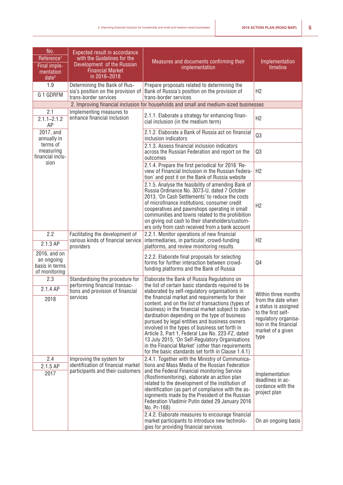| No.<br>Reference <sup>1</sup><br>Final imple-<br>mentation<br>date <sup>2</sup> | Expected result in accordance<br>with the Guidelines for the<br>Development of the Russian<br><b>Financial Market</b><br>in 2016-2018 | Measures and documents confirming their<br>implementation                                                                                                                                                                                                                                                                                                                                                                                                                                                                                                                                                                                                                                | Implementation<br>timeline                                                                                                                                            |
|---------------------------------------------------------------------------------|---------------------------------------------------------------------------------------------------------------------------------------|------------------------------------------------------------------------------------------------------------------------------------------------------------------------------------------------------------------------------------------------------------------------------------------------------------------------------------------------------------------------------------------------------------------------------------------------------------------------------------------------------------------------------------------------------------------------------------------------------------------------------------------------------------------------------------------|-----------------------------------------------------------------------------------------------------------------------------------------------------------------------|
| 1.9<br>G 1 GDRFM                                                                | Determining the Bank of Rus-<br>sia's position on the provision of<br>trans-border services                                           | Prepare proposals related to determining the<br>Bank of Russia's position on the provision of<br>trans-border services                                                                                                                                                                                                                                                                                                                                                                                                                                                                                                                                                                   | H2                                                                                                                                                                    |
|                                                                                 |                                                                                                                                       | 2. Improving financial inclusion for households and small and medium-sized businesses                                                                                                                                                                                                                                                                                                                                                                                                                                                                                                                                                                                                    |                                                                                                                                                                       |
| 2.1<br>$2.1.1 - 2.1.2$<br>AP                                                    | Implementing measures to<br>enhance financial inclusion                                                                               | 2.1.1. Elaborate a strategy for enhancing finan-<br>cial inclusion (in the medium term)                                                                                                                                                                                                                                                                                                                                                                                                                                                                                                                                                                                                  | H <sub>2</sub>                                                                                                                                                        |
| 2017, and<br>annually in                                                        |                                                                                                                                       | 2.1.2. Elaborate a Bank of Russia act on financial<br>inclusion indicators                                                                                                                                                                                                                                                                                                                                                                                                                                                                                                                                                                                                               | Q3                                                                                                                                                                    |
| terms of<br>measuring<br>financial inclu-                                       |                                                                                                                                       | 2.1.3. Assess financial inclusion indicators<br>across the Russian Federation and report on the<br>outcomes                                                                                                                                                                                                                                                                                                                                                                                                                                                                                                                                                                              | Q3                                                                                                                                                                    |
| sion                                                                            |                                                                                                                                       | 2.1.4. Prepare the first periodical for 2016 'Re-<br>view of Financial Inclusion in the Russian Federa-<br>tion' and post it on the Bank of Russia website                                                                                                                                                                                                                                                                                                                                                                                                                                                                                                                               | H2                                                                                                                                                                    |
|                                                                                 |                                                                                                                                       | 2.1.5. Analyse the feasibility of amending Bank of<br>Russia Ordinance No. 3073-U, dated 7 October<br>2013, 'On Cash Settlements' to reduce the costs<br>of microfinance institutions, consumer credit<br>cooperatives and pawnshops operating in small<br>communities and towns related to the prohibition<br>on giving out cash to their shareholders/custom-<br>ers only from cash received from a bank account                                                                                                                                                                                                                                                                       | H <sub>2</sub>                                                                                                                                                        |
| 2.2<br>2.1.3 AP                                                                 | Facilitating the development of<br>various kinds of financial service<br>providers                                                    | 2.2.1. Monitor operations of new financial<br>intermediaries, in particular, crowd-funding<br>platforms, and review monitoring results                                                                                                                                                                                                                                                                                                                                                                                                                                                                                                                                                   | H2                                                                                                                                                                    |
| 2016, and on<br>an ongoing<br>basis in terms<br>of monitoring                   |                                                                                                                                       | 2.2.2. Elaborate final proposals for selecting<br>forms for further interaction between crowd-<br>funding platforms and the Bank of Russia                                                                                                                                                                                                                                                                                                                                                                                                                                                                                                                                               | Q4                                                                                                                                                                    |
| 2.3<br>2.1.4 AP<br>2018                                                         | Standardising the procedure for<br>performing financial transac-<br>tions and provision of financial<br>services                      | Elaborate the Bank of Russia Regulations on<br>the list of certain basic standards required to be<br>elaborated by self-regulatory organisations in<br>the financial market and requirements for their<br>content, and on the list of transactions (types of<br>business) in the financial market subject to stan-<br>dardisation depending on the type of business<br>pursued by legal entities and business owners<br>involved in the types of business set forth in<br>Article 3, Part 1, Federal Law No. 223-FZ, dated<br>13 July 2015, 'On Self-Regulatory Organisations<br>in the Financial Market' (other than requirements<br>for the basic standards set forth in Clause 1.4.1) | Within three months<br>from the date when<br>a status is assigned<br>to the first self-<br>regulatory organisa-<br>tion in the financial<br>market of a given<br>type |
| 2.4<br>2.1.5 AP<br>2017                                                         | Improving the system for<br>identification of financial market<br>participants and their customers                                    | 2.4.1. Together with the Ministry of Communica-<br>tions and Mass Media of the Russian Federation<br>and the Federal Financial monitoring Service<br>(Rosfinmonitoring), elaborate an action plan<br>related to the development of the institution of<br>identification (as part of compliance with the as-<br>signments made by the President of the Russian<br>Federation Vladimir Putin dated 29 January 2016<br>No. Pr-168)<br>2.4.2. Elaborate measures to encourage financial<br>market participants to introduce new technolo-<br>gies for providing financial services                                                                                                           | Implementation<br>deadlines in ac-<br>cordance with the<br>project plan<br>On an ongoing basis                                                                        |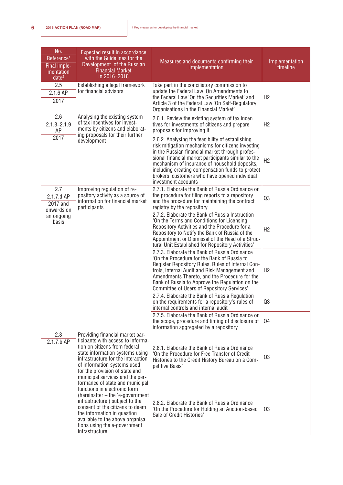| No.<br>Reference <sup>1</sup><br>Final imple-<br>mentation<br>date <sup>2</sup>                                                                                                                                                                                                                         | Expected result in accordance<br>with the Guidelines for the<br>Development of the Russian<br><b>Financial Market</b><br>in 2016-2018                                                                                                                                                          | Measures and documents confirming their<br>implementation                                                                                                                                                                                                                                                                                                                                    | Implementation<br>timeline |
|---------------------------------------------------------------------------------------------------------------------------------------------------------------------------------------------------------------------------------------------------------------------------------------------------------|------------------------------------------------------------------------------------------------------------------------------------------------------------------------------------------------------------------------------------------------------------------------------------------------|----------------------------------------------------------------------------------------------------------------------------------------------------------------------------------------------------------------------------------------------------------------------------------------------------------------------------------------------------------------------------------------------|----------------------------|
| 2.5<br>2.1.6 AP<br>2017                                                                                                                                                                                                                                                                                 | Establishing a legal framework<br>for financial advisors                                                                                                                                                                                                                                       | Take part in the conciliatory commission to<br>update the Federal Law 'On Amendments to<br>the Federal Law 'On the Securities Market' and<br>Article 3 of the Federal Law 'On Self-Regulatory<br>Organisations in the Financial Market'                                                                                                                                                      | H2                         |
| 2.6<br>$2.1.8 - 2.1.9$<br>AP                                                                                                                                                                                                                                                                            | Analysing the existing system<br>of tax incentives for invest-<br>ments by citizens and elaborat-                                                                                                                                                                                              | 2.6.1. Review the existing system of tax incen-<br>tives for investments of citizens and prepare<br>proposals for improving it                                                                                                                                                                                                                                                               | H2                         |
| 2017                                                                                                                                                                                                                                                                                                    | ing proposals for their further<br>development                                                                                                                                                                                                                                                 | 2.6.2. Analysing the feasibility of establishing<br>risk mitigation mechanisms for citizens investing<br>in the Russian financial market through profes-<br>sional financial market participants similar to the<br>mechanism of insurance of household deposits,<br>including creating compensation funds to protect<br>brokers' customers who have opened individual<br>investment accounts | H2                         |
| 2.7<br>2.1.7.d AP<br>2017 and<br>onwards on                                                                                                                                                                                                                                                             | Improving regulation of re-<br>pository activity as a source of<br>information for financial market<br>participants                                                                                                                                                                            | 2.7.1. Elaborate the Bank of Russia Ordinance on<br>the procedure for filing reports to a repository<br>and the procedure for maintaining the contract<br>registry by the repository                                                                                                                                                                                                         | Q3                         |
| an ongoing<br>basis                                                                                                                                                                                                                                                                                     |                                                                                                                                                                                                                                                                                                | 2.7.2. Elaborate the Bank of Russia Instruction<br>'On the Terms and Conditions for Licensing<br>Repository Activities and the Procedure for a<br>Repository to Notify the Bank of Russia of the<br>Appointment or Dismissal of the Head of a Struc-<br>tural Unit Established for Repository Activities'                                                                                    | H2                         |
|                                                                                                                                                                                                                                                                                                         |                                                                                                                                                                                                                                                                                                | 2.7.3. Elaborate the Bank of Russia Ordinance<br>'On the Procedure for the Bank of Russia to<br>Register Repository Rules, Rules of Internal Con-<br>trols, Internal Audit and Risk Management and<br>Amendments Thereto, and the Procedure for the<br>Bank of Russia to Approve the Regulation on the<br>Committee of Users of Repository Services'                                         | H2                         |
|                                                                                                                                                                                                                                                                                                         |                                                                                                                                                                                                                                                                                                | 2.7.4. Elaborate the Bank of Russia Regulation<br>on the requirements for a repository's rules of<br>internal controls and internal audit                                                                                                                                                                                                                                                    | Q3                         |
|                                                                                                                                                                                                                                                                                                         |                                                                                                                                                                                                                                                                                                | 2.7.5. Elaborate the Bank of Russia Ordinance on<br>the scope, procedure and timing of disclosure of<br>information aggregated by a repository                                                                                                                                                                                                                                               | Q4                         |
| 2.8<br>Providing financial market par-<br>ticipants with access to informa-<br>2.1.7.b AP<br>tion on citizens from federal<br>state information systems using<br>infrastructure for the interaction<br>of information systems used<br>for the provision of state and<br>municipal services and the per- | 2.8.1. Elaborate the Bank of Russia Ordinance<br>'On the Procedure for Free Transfer of Credit<br>Histories to the Credit History Bureau on a Com-<br>petitive Basis'                                                                                                                          | Q3                                                                                                                                                                                                                                                                                                                                                                                           |                            |
|                                                                                                                                                                                                                                                                                                         | formance of state and municipal<br>functions in electronic form<br>(hereinafter - the 'e-government<br>infrastructure') subject to the<br>consent of the citizens to deem<br>the information in question<br>available to the above organisa-<br>tions using the e-government<br>infrastructure | 2.8.2. Elaborate the Bank of Russia Ordinance<br>'On the Procedure for Holding an Auction-based<br>Sale of Credit Histories'                                                                                                                                                                                                                                                                 | Q3                         |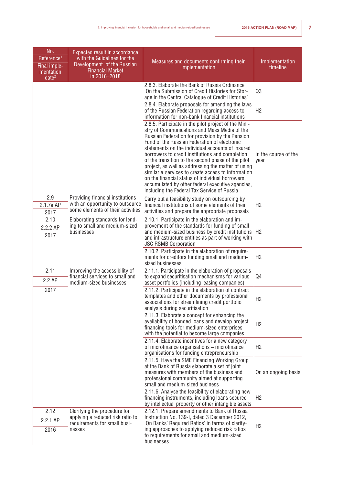| No.<br>Reference <sup>1</sup><br>Final imple-<br>mentation<br>date <sup>2</sup> | Expected result in accordance<br>with the Guidelines for the<br>Development of the Russian<br><b>Financial Market</b><br>in 2016-2018 | Measures and documents confirming their<br>implementation                                                                                                                                                                                                                                                                                                                                                                                                                                                                                                                                                                               | Implementation<br>timeline   |
|---------------------------------------------------------------------------------|---------------------------------------------------------------------------------------------------------------------------------------|-----------------------------------------------------------------------------------------------------------------------------------------------------------------------------------------------------------------------------------------------------------------------------------------------------------------------------------------------------------------------------------------------------------------------------------------------------------------------------------------------------------------------------------------------------------------------------------------------------------------------------------------|------------------------------|
|                                                                                 |                                                                                                                                       | 2.8.3. Elaborate the Bank of Russia Ordinance<br>'On the Submission of Credit Histories for Stor-<br>age in the Central Catalogue of Credit Histories'                                                                                                                                                                                                                                                                                                                                                                                                                                                                                  | Q3                           |
|                                                                                 |                                                                                                                                       | 2.8.4. Elaborate proposals for amending the laws<br>of the Russian Federation regarding access to<br>information for non-bank financial institutions                                                                                                                                                                                                                                                                                                                                                                                                                                                                                    | H2                           |
|                                                                                 |                                                                                                                                       | 2.8.5. Participate in the pilot project of the Mini-<br>stry of Communications and Mass Media of the<br>Russian Federation for provision by the Pension<br>Fund of the Russian Federation of electronic<br>statements on the individual accounts of insured<br>borrowers to credit institutions and completion<br>of the transition to the second phase of the pilot<br>project, as well as addressing the matter of using<br>similar e-services to create access to information<br>on the financial status of individual borrowers,<br>accumulated by other federal executive agencies,<br>including the Federal Tax Service of Russia | In the course of the<br>year |
| 2.9<br>2.1.7a AP<br>2017                                                        | Providing financial institutions<br>with an opportunity to outsource<br>some elements of their activities                             | Carry out a feasibility study on outsourcing by<br>financial institutions of some elements of their<br>activities and prepare the appropriate proposals                                                                                                                                                                                                                                                                                                                                                                                                                                                                                 | H2                           |
| 2.10<br>2.2.2 AP<br>2017                                                        | Elaborating standards for lend-<br>ing to small and medium-sized<br>businesses                                                        | 2.10.1. Participate in the elaboration and im-<br>provement of the standards for funding of small<br>and medium-sized business by credit institutions<br>and infrastructure entities as part of working with<br><b>JSC RSMB Corporation</b>                                                                                                                                                                                                                                                                                                                                                                                             | H <sub>2</sub>               |
|                                                                                 |                                                                                                                                       | 2.10.2. Participate in the elaboration of require-<br>ments for creditors funding small and medium-<br>sized businesses                                                                                                                                                                                                                                                                                                                                                                                                                                                                                                                 | H2                           |
| 2.11<br>2.2 AP                                                                  | Improving the accessibility of<br>financial services to small and<br>medium-sized businesses                                          | 2.11.1. Participate in the elaboration of proposals<br>to expand securitisation mechanisms for various<br>asset portfolios (including leasing companies)                                                                                                                                                                                                                                                                                                                                                                                                                                                                                | Q <sub>4</sub>               |
| 2017                                                                            |                                                                                                                                       | 2.11.2. Participate in the elaboration of contract<br>templates and other documents by professional<br>associations for streamlining credit portfolio<br>analysis during securitisation                                                                                                                                                                                                                                                                                                                                                                                                                                                 | H <sub>2</sub>               |
|                                                                                 |                                                                                                                                       | 2.11.3. Elaborate a concept for enhancing the<br>availability of bonded loans and develop project<br>financing tools for medium-sized enterprises<br>with the potential to become large companies                                                                                                                                                                                                                                                                                                                                                                                                                                       | H2                           |
|                                                                                 |                                                                                                                                       | 2.11.4. Elaborate incentives for a new category<br>of microfinance organisations - microfinance<br>organisations for funding entrepreneurship                                                                                                                                                                                                                                                                                                                                                                                                                                                                                           | H <sub>2</sub>               |
|                                                                                 |                                                                                                                                       | 2.11.5. Have the SME Financing Working Group<br>at the Bank of Russia elaborate a set of joint<br>measures with members of the business and<br>professional community aimed at supporting<br>small and medium-sized business                                                                                                                                                                                                                                                                                                                                                                                                            | On an ongoing basis          |
|                                                                                 |                                                                                                                                       | 2.11.6. Analyse the feasibility of elaborating new<br>financing instruments, including loans secured<br>by intellectual property or other intangible assets                                                                                                                                                                                                                                                                                                                                                                                                                                                                             | H2                           |
| 2.12<br>2.2.1 AP                                                                | Clarifying the procedure for<br>applying a reduced risk ratio to<br>requirements for small busi-                                      | 2.12.1. Prepare amendments to Bank of Russia<br>Instruction No. 139-I, dated 3 December 2012,<br>'On Banks' Required Ratios' in terms of clarify-                                                                                                                                                                                                                                                                                                                                                                                                                                                                                       |                              |
| 2016                                                                            | nesses                                                                                                                                | ing approaches to applying reduced risk ratios<br>to requirements for small and medium-sized<br>businesses                                                                                                                                                                                                                                                                                                                                                                                                                                                                                                                              | H2                           |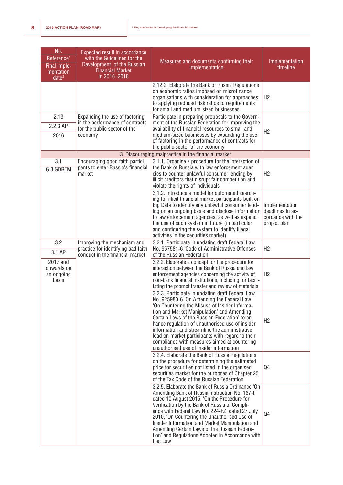| No.<br>Reference <sup>1</sup><br>Final imple-<br>mentation<br>date <sup>2</sup> | Expected result in accordance<br>with the Guidelines for the<br>Development of the Russian<br><b>Financial Market</b><br>in 2016-2018 | Measures and documents confirming their<br>implementation                                                                                                                                                                                                                                                                                                                                                                                                                                         | Implementation<br>timeline                                              |
|---------------------------------------------------------------------------------|---------------------------------------------------------------------------------------------------------------------------------------|---------------------------------------------------------------------------------------------------------------------------------------------------------------------------------------------------------------------------------------------------------------------------------------------------------------------------------------------------------------------------------------------------------------------------------------------------------------------------------------------------|-------------------------------------------------------------------------|
|                                                                                 |                                                                                                                                       | 2.12.2. Elaborate the Bank of Russia Regulations<br>on economic ratios imposed on microfinance<br>organisations with consideration for approaches<br>to applying reduced risk ratios to requirements<br>for small and medium-sized businesses                                                                                                                                                                                                                                                     | H2                                                                      |
| 2.13<br>2.2.3 AP<br>2016                                                        | Expanding the use of factoring<br>in the performance of contracts<br>for the public sector of the<br>economy                          | Participate in preparing proposals to the Govern-<br>ment of the Russian Federation for improving the<br>availability of financial resources to small and<br>medium-sized businesses by expanding the use<br>of factoring in the performance of contracts for<br>the public sector of the economy                                                                                                                                                                                                 | H2                                                                      |
|                                                                                 |                                                                                                                                       | 3. Discouraging malpractice in the financial market                                                                                                                                                                                                                                                                                                                                                                                                                                               |                                                                         |
| 3.1<br>G 3 GDRFM                                                                | Encouraging good faith partici-<br>pants to enter Russia's financial<br>market                                                        | 3.1.1. Organise a procedure for the interaction of<br>the Bank of Russia with law enforcement agen-<br>cies to counter unlawful consumer lending by<br>illicit creditors that disrupt fair competition and<br>violate the rights of individuals                                                                                                                                                                                                                                                   | H2                                                                      |
|                                                                                 |                                                                                                                                       | 3.1.2. Introduce a model for automated search-<br>ing for illicit financial market participants built on<br>Big Data to identify any unlawful consumer lend-<br>ing on an ongoing basis and disclose information<br>to law enforcement agencies, as well as expand<br>the use of such system in future (in particular<br>and configuring the system to identify illegal<br>activities in the securities market)                                                                                   | Implementation<br>deadlines in ac-<br>cordance with the<br>project plan |
| 3.2<br>3.1 AP                                                                   | Improving the mechanism and<br>practice for identifying bad faith<br>conduct in the financial market                                  | 3.2.1. Participate in updating draft Federal Law<br>No. 957581-6 'Code of Administrative Offenses<br>of the Russian Federation'                                                                                                                                                                                                                                                                                                                                                                   | H2                                                                      |
| 2017 and<br>onwards on<br>an ongoing<br>basis                                   |                                                                                                                                       | 3.2.2. Elaborate a concept for the procedure for<br>interaction between the Bank of Russia and law<br>enforcement agencies concerning the activity of<br>non-bank financial institutions, including for facili-<br>tating the prompt transfer and review of materials                                                                                                                                                                                                                             | H2                                                                      |
|                                                                                 |                                                                                                                                       | 3.2.3. Participate in updating draft Federal Law<br>No. 925980-6 'On Amending the Federal Law<br>'On Countering the Misuse of Insider Informa-<br>tion and Market Manipulation' and Amending<br>Certain Laws of the Russian Federation' to en-<br>hance regulation of unauthorised use of insider<br>information and streamline the administrative<br>load on market participants with regard to their<br>compliance with measures aimed at countering<br>unauthorised use of insider information | H <sub>2</sub>                                                          |
|                                                                                 |                                                                                                                                       | 3.2.4. Elaborate the Bank of Russia Regulations<br>on the procedure for determining the estimated<br>price for securities not listed in the organised<br>securities market for the purposes of Chapter 25<br>of the Tax Code of the Russian Federation                                                                                                                                                                                                                                            | Q4                                                                      |
|                                                                                 |                                                                                                                                       | 3.2.5. Elaborate the Bank of Russia Ordinance 'On<br>Amending Bank of Russia Instruction No. 167-I,<br>dated 10 August 2015, 'On the Procedure for<br>Verification by the Bank of Russia of Compli-<br>ance with Federal Law No. 224-FZ, dated 27 July<br>2010, 'On Countering the Unauthorised Use of<br>Insider Information and Market Manipulation and<br>Amending Certain Laws of the Russian Federa-<br>tion' and Regulations Adopted in Accordance with<br>that Law'                        | Q4                                                                      |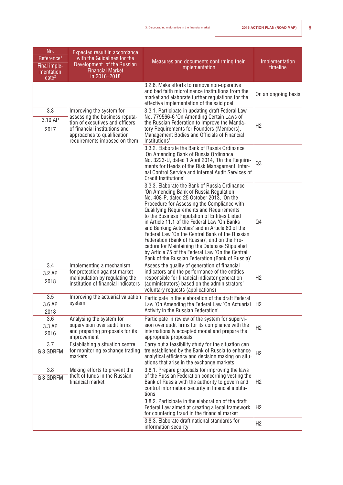| No.<br>Reference <sup>1</sup><br>Final imple-<br>mentation<br>date <sup>2</sup> | <b>Expected result in accordance</b><br>with the Guidelines for the<br>Development of the Russian<br><b>Financial Market</b><br>in 2016-2018                                                  | Measures and documents confirming their<br>implementation                                                                                                                                                                                                                                                                                                                                                                                                                                                                                                                                                                                                 | Implementation<br>timeline |
|---------------------------------------------------------------------------------|-----------------------------------------------------------------------------------------------------------------------------------------------------------------------------------------------|-----------------------------------------------------------------------------------------------------------------------------------------------------------------------------------------------------------------------------------------------------------------------------------------------------------------------------------------------------------------------------------------------------------------------------------------------------------------------------------------------------------------------------------------------------------------------------------------------------------------------------------------------------------|----------------------------|
|                                                                                 |                                                                                                                                                                                               | 3.2.6. Make efforts to remove non-operative<br>and bad faith microfinance institutions from the<br>market and elaborate further regulations for the<br>effective implementation of the said goal                                                                                                                                                                                                                                                                                                                                                                                                                                                          | On an ongoing basis        |
| 3.3<br>3.10 AP<br>2017                                                          | Improving the system for<br>assessing the business reputa-<br>tion of executives and officers<br>of financial institutions and<br>approaches to qualification<br>requirements imposed on them | 3.3.1. Participate in updating draft Federal Law<br>No. 779566-6 'On Amending Certain Laws of<br>the Russian Federation to Improve the Manda-<br>tory Requirements for Founders (Members),<br>Management Bodies and Officials of Financial<br>Institutions'                                                                                                                                                                                                                                                                                                                                                                                               | H2                         |
|                                                                                 |                                                                                                                                                                                               | 3.3.2. Elaborate the Bank of Russia Ordinance<br>'On Amending Bank of Russia Ordinance<br>No. 3223-U, dated 1 April 2014, 'On the Require-<br>ments for Heads of the Risk Management, Inter-<br>nal Control Service and Internal Audit Services of<br><b>Credit Institutions'</b>                                                                                                                                                                                                                                                                                                                                                                         | Q3                         |
|                                                                                 |                                                                                                                                                                                               | 3.3.3. Elaborate the Bank of Russia Ordinance<br>'On Amending Bank of Russia Regulation<br>No. 408-P, dated 25 October 2013, 'On the<br>Procedure for Assessing the Compliance with<br><b>Qualifying Requirements and Requirements</b><br>to the Business Reputation of Entities Listed<br>in Article 11.1 of the Federal Law 'On Banks<br>and Banking Activities' and in Article 60 of the<br>Federal Law 'On the Central Bank of the Russian<br>Federation (Bank of Russia)', and on the Pro-<br>cedure for Maintaining the Database Stipulated<br>by Article 75 of the Federal Law 'On the Central<br>Bank of the Russian Federation (Bank of Russia)' | Q4                         |
| 3.4<br>3.2 AP<br>2018                                                           | Implementing a mechanism<br>for protection against market<br>manipulation by regulating the<br>institution of financial indicators                                                            | Assess the quality of generation of financial<br>indicators and the performance of the entities<br>responsible for financial indicator generation<br>(administrators) based on the administrators'<br>voluntary requests (applications)                                                                                                                                                                                                                                                                                                                                                                                                                   | H2                         |
| 3.5<br>3.6 AP<br>2018                                                           | Improving the actuarial valuation<br>system                                                                                                                                                   | Participate in the elaboration of the draft Federal<br>Law 'On Amending the Federal Law 'On Actuarial<br>Activity in the Russian Federation'                                                                                                                                                                                                                                                                                                                                                                                                                                                                                                              | H2                         |
| 3.6<br>3.3 AP<br>2016                                                           | Analysing the system for<br>supervision over audit firms<br>and preparing proposals for its<br>improvement                                                                                    | Participate in review of the system for supervi-<br>sion over audit firms for its compliance with the<br>internationally accepted model and prepare the<br>appropriate proposals                                                                                                                                                                                                                                                                                                                                                                                                                                                                          | H2                         |
| 3.7<br>G 3 GDRFM                                                                | Establishing a situation centre<br>for monitoring exchange trading<br>markets                                                                                                                 | Carry out a feasibility study for the situation cen-<br>tre established by the Bank of Russia to enhance<br>analytical efficiency and decision making on situ-<br>ations that arise in the exchange markets                                                                                                                                                                                                                                                                                                                                                                                                                                               | H <sub>2</sub>             |
| 3.8<br>G 3 GDRFM                                                                | Making efforts to prevent the<br>theft of funds in the Russian<br>financial market                                                                                                            | 3.8.1. Prepare proposals for improving the laws<br>of the Russian Federation concerning vesting the<br>Bank of Russia with the authority to govern and<br>control information security in financial institu-<br>tions                                                                                                                                                                                                                                                                                                                                                                                                                                     | H <sub>2</sub>             |
|                                                                                 |                                                                                                                                                                                               | 3.8.2. Participate in the elaboration of the draft<br>Federal Law aimed at creating a legal framework<br>for countering fraud in the financial market                                                                                                                                                                                                                                                                                                                                                                                                                                                                                                     | H2                         |
|                                                                                 |                                                                                                                                                                                               | 3.8.3. Elaborate draft national standards for<br>information security                                                                                                                                                                                                                                                                                                                                                                                                                                                                                                                                                                                     | H <sub>2</sub>             |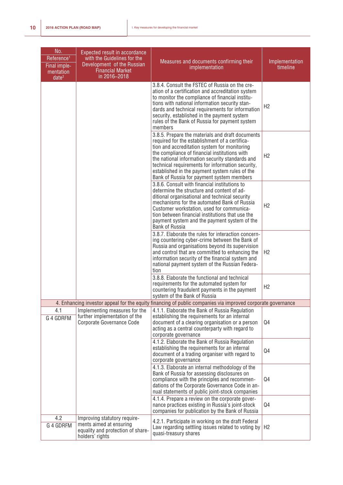| No.<br>Reference <sup>1</sup><br>Final imple-<br>mentation<br>date <sup>2</sup> | <b>Expected result in accordance</b><br>with the Guidelines for the<br>Development of the Russian<br><b>Financial Market</b><br>in 2016-2018 | Measures and documents confirming their<br>implementation                                                                                                                                                                                                                                                                                                                                                 | Implementation<br>timeline |
|---------------------------------------------------------------------------------|----------------------------------------------------------------------------------------------------------------------------------------------|-----------------------------------------------------------------------------------------------------------------------------------------------------------------------------------------------------------------------------------------------------------------------------------------------------------------------------------------------------------------------------------------------------------|----------------------------|
|                                                                                 |                                                                                                                                              | 3.8.4. Consult the FSTEC of Russia on the cre-<br>ation of a certification and accreditation system<br>to monitor the compliance of financial institu-<br>tions with national information security stan-<br>dards and technical requirements for information<br>security, established in the payment system<br>rules of the Bank of Russia for payment system<br>members                                  | H2                         |
|                                                                                 |                                                                                                                                              | 3.8.5. Prepare the materials and draft documents<br>required for the establishment of a certifica-<br>tion and accreditation system for monitoring<br>the compliance of financial institutions with<br>the national information security standards and<br>technical requirements for information security,<br>established in the payment system rules of the<br>Bank of Russia for payment system members | H2                         |
|                                                                                 |                                                                                                                                              | 3.8.6. Consult with financial institutions to<br>determine the structure and content of ad-<br>ditional organisational and technical security<br>mechanisms for the automated Bank of Russia<br>Customer workstation, used for communica-<br>tion between financial institutions that use the<br>payment system and the payment system of the<br><b>Bank of Russia</b>                                    | H <sub>2</sub>             |
|                                                                                 |                                                                                                                                              | 3.8.7. Elaborate the rules for interaction concern-<br>ing countering cyber-crime between the Bank of<br>Russia and organisations beyond its supervision<br>and control that are committed to enhancing the<br>information security of the financial system and<br>national payment system of the Russian Federa-<br>tion                                                                                 | H2                         |
|                                                                                 |                                                                                                                                              | 3.8.8. Elaborate the functional and technical<br>requirements for the automated system for<br>countering fraudulent payments in the payment<br>system of the Bank of Russia                                                                                                                                                                                                                               | H2                         |
|                                                                                 |                                                                                                                                              | 4. Enhancing investor appeal for the equity financing of public companies via improved corporate governance                                                                                                                                                                                                                                                                                               |                            |
| 4.1<br>G 4 GDRFM                                                                | Implementing measures for the<br>further implementation of the<br>Corporate Governance Code                                                  | 4.1.1. Elaborate the Bank of Russia Regulation<br>establishing the requirements for an internal<br>document of a clearing organisation or a person<br>acting as a central counterparty with regard to<br>corporate governance                                                                                                                                                                             | Q4                         |
|                                                                                 |                                                                                                                                              | 4.1.2. Elaborate the Bank of Russia Regulation<br>establishing the requirements for an internal<br>document of a trading organiser with regard to<br>corporate governance                                                                                                                                                                                                                                 | Q4                         |
|                                                                                 |                                                                                                                                              | 4.1.3. Elaborate an internal methodology of the<br>Bank of Russia for assessing disclosures on<br>compliance with the principles and recommen-<br>dations of the Corporate Governance Code in an-<br>nual statements of public joint-stock companies                                                                                                                                                      | Q4                         |
|                                                                                 |                                                                                                                                              | 4.1.4. Prepare a review on the corporate gover-<br>nance practices existing in Russia's joint-stock<br>companies for publication by the Bank of Russia                                                                                                                                                                                                                                                    | Q4                         |
| 4.2<br>G 4 GDRFM                                                                | Improving statutory require-<br>ments aimed at ensuring<br>equality and protection of share-<br>holders' rights                              | 4.2.1. Participate in working on the draft Federal<br>Law regarding settling issues related to voting by<br>quasi-treasury shares                                                                                                                                                                                                                                                                         | H <sub>2</sub>             |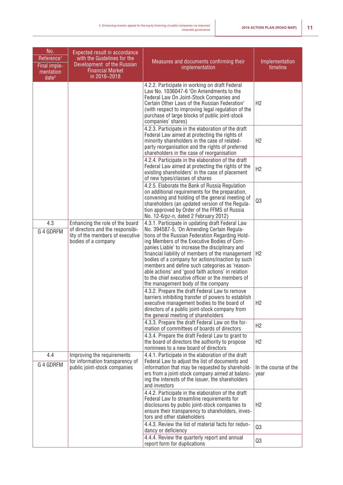| No.<br>Reference <sup>1</sup><br>Final imple-<br>mentation<br>date <sup>2</sup> | Expected result in accordance<br>with the Guidelines for the<br>Development of the Russian<br><b>Financial Market</b><br>in 2016-2018 | Measures and documents confirming their<br>implementation                                                                                                                                                                                                                                                                                                                                                                                                                                                                                                     | Implementation<br>timeline   |
|---------------------------------------------------------------------------------|---------------------------------------------------------------------------------------------------------------------------------------|---------------------------------------------------------------------------------------------------------------------------------------------------------------------------------------------------------------------------------------------------------------------------------------------------------------------------------------------------------------------------------------------------------------------------------------------------------------------------------------------------------------------------------------------------------------|------------------------------|
|                                                                                 |                                                                                                                                       | 4.2.2. Participate in working on draft Federal<br>Law No. 1036047-6 'On Amendments to the<br>Federal Law On Joint-Stock Companies and<br>Certain Other Laws of the Russian Federation'<br>(with respect to improving legal regulation of the<br>purchase of large blocks of public joint-stock<br>companies' shares)                                                                                                                                                                                                                                          | H2                           |
|                                                                                 |                                                                                                                                       | 4.2.3. Participate in the elaboration of the draft<br>Federal Law aimed at protecting the rights of<br>minority shareholders in the case of related-<br>party reorganisation and the rights of preferred<br>shareholders in the case of reorganisation                                                                                                                                                                                                                                                                                                        | H <sub>2</sub>               |
|                                                                                 |                                                                                                                                       | 4.2.4. Participate in the elaboration of the draft<br>Federal Law aimed at protecting the rights of the<br>existing shareholders' in the case of placement<br>of new types/classes of shares                                                                                                                                                                                                                                                                                                                                                                  | H <sub>2</sub>               |
|                                                                                 |                                                                                                                                       | 4.2.5. Elaborate the Bank of Russia Regulation<br>on additional requirements for the preparation,<br>convening and holding of the general meeting of<br>shareholders (an updated version of the Regula-<br>tion approved by Order of the FFMS of Russia<br>No. 12-6/pz-n, dated 2 February 2012)                                                                                                                                                                                                                                                              | Q3                           |
| 4.3<br>G 4 GDRFM                                                                | Enhancing the role of the board<br>of directors and the responsibi-<br>lity of the members of executive<br>bodies of a company        | 4.3.1. Participate in updating draft Federal Law<br>No. 394587-5, 'On Amending Certain Regula-<br>tions of the Russian Federation Regarding Hold-<br>ing Members of the Executive Bodies of Com-<br>panies Liable' to increase the disciplinary and<br>financial liability of members of the management<br>bodies of a company for actions/inaction by such<br>members and define such categories as 'reason-<br>able actions' and 'good faith actions' in relation<br>to the chief executive officer or the members of<br>the management body of the company | H <sub>2</sub>               |
|                                                                                 |                                                                                                                                       | 4.3.2. Prepare the draft Federal Law to remove<br>barriers inhibiting transfer of powers to establish<br>executive management bodies to the board of<br>directors of a public joint-stock company from<br>the general meeting of shareholders                                                                                                                                                                                                                                                                                                                 | H <sub>2</sub>               |
|                                                                                 |                                                                                                                                       | 4.3.3. Prepare the draft Federal Law on the for-<br>mation of committees of boards of directors<br>4.3.4. Prepare the draft Federal Law to grant to<br>the board of directors the authority to propose<br>nominees to a new board of directors                                                                                                                                                                                                                                                                                                                | H <sub>2</sub><br>H2         |
| 4.4<br>G 4 GDRFM                                                                | Improving the requirements<br>for information transparency of<br>public joint-stock companies                                         | 4.4.1. Participate in the elaboration of the draft<br>Federal Law to adjust the list of documents and<br>information that may be requested by sharehold-<br>ers from a joint-stock company aimed at balanc-<br>ing the interests of the issuer, the shareholders<br>and investors                                                                                                                                                                                                                                                                             | In the course of the<br>year |
|                                                                                 |                                                                                                                                       | 4.4.2. Participate in the elaboration of the draft<br>Federal Law to streamline requirements for<br>disclosures by public joint-stock companies to<br>ensure their transparency to shareholders, inves-<br>tors and other stakeholders                                                                                                                                                                                                                                                                                                                        | H2                           |
|                                                                                 |                                                                                                                                       | 4.4.3. Review the list of material facts for redun-<br>dancy or deficiency                                                                                                                                                                                                                                                                                                                                                                                                                                                                                    | Q3                           |
|                                                                                 |                                                                                                                                       | 4.4.4. Review the quarterly report and annual<br>report form for duplications                                                                                                                                                                                                                                                                                                                                                                                                                                                                                 | Q3                           |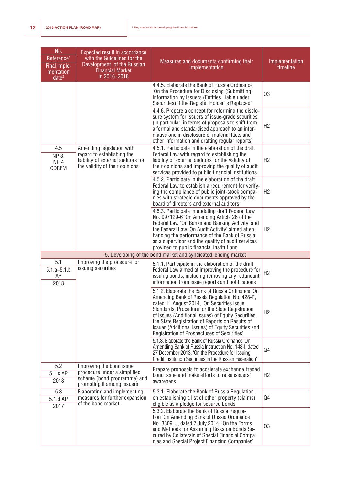| No.<br>Reference <sup>1</sup><br>Final imple-<br>mentation<br>date <sup>2</sup> | Expected result in accordance<br>with the Guidelines for the<br>Development of the Russian<br><b>Financial Market</b><br>in 2016-2018 | Measures and documents confirming their<br>implementation                                                                                                                                                                                                                                                                                                                                                           | Implementation<br>timeline |
|---------------------------------------------------------------------------------|---------------------------------------------------------------------------------------------------------------------------------------|---------------------------------------------------------------------------------------------------------------------------------------------------------------------------------------------------------------------------------------------------------------------------------------------------------------------------------------------------------------------------------------------------------------------|----------------------------|
|                                                                                 |                                                                                                                                       | 4.4.5. Elaborate the Bank of Russia Ordinance<br>'On the Procedure for Disclosing (Submitting)<br>Information by Issuers (Entities Liable under<br>Securities) if the Register Holder is Replaced'                                                                                                                                                                                                                  | Q3                         |
|                                                                                 |                                                                                                                                       | 4.4.6. Prepare a concept for reforming the disclo-<br>sure system for issuers of issue-grade securities<br>(in particular, in terms of proposals to shift from<br>a formal and standardised approach to an infor-<br>mative one in disclosure of material facts and<br>other information and drafting regular reports)                                                                                              | H2                         |
| 4.5<br>NP 3,<br>NP <sub>4</sub><br><b>GDRFM</b>                                 | Amending legislation with<br>regard to establishing the<br>liability of external auditors for<br>the validity of their opinions       | 4.5.1. Participate in the elaboration of the draft<br>Federal Law with regard to establishing the<br>liability of external auditors for the validity of<br>their opinions and improving the quality of audit<br>services provided to public financial institutions                                                                                                                                                  | H2                         |
|                                                                                 |                                                                                                                                       | 4.5.2. Participate in the elaboration of the draft<br>Federal Law to establish a requirement for verify-<br>ing the compliance of public joint-stock compa-<br>nies with strategic documents approved by the<br>board of directors and external auditors                                                                                                                                                            | H <sub>2</sub>             |
|                                                                                 |                                                                                                                                       | 4.5.3. Participate in updating draft Federal Law<br>No. 997129-6 'On Amending Article 26 of the<br>Federal Law 'On Banks and Banking Activity' and<br>the Federal Law 'On Audit Activity' aimed at en-<br>hancing the performance of the Bank of Russia<br>as a supervisor and the quality of audit services<br>provided to public financial institutions                                                           | H <sub>2</sub>             |
|                                                                                 |                                                                                                                                       | 5. Developing of the bond market and syndicated lending market                                                                                                                                                                                                                                                                                                                                                      |                            |
| 5.1<br>$5.1.a - 5.1.b$<br>AP<br>2018                                            | Improving the procedure for<br>issuing securities                                                                                     | 5.1.1. Participate in the elaboration of the draft<br>Federal Law aimed at improving the procedure for<br>issuing bonds, including removing any redundant<br>information from issue reports and notifications                                                                                                                                                                                                       | H <sub>2</sub>             |
|                                                                                 |                                                                                                                                       | 5.1.2. Elaborate the Bank of Russia Ordinance 'On<br>Amending Bank of Russia Regulation No. 428-P,<br>dated 11 August 2014, 'On Securities Issue<br>Standards, Procedure for the State Registration<br>of Issues (Additional Issues) of Equity Securities,<br>the State Registration of Reports on Results of<br>Issues (Additional Issues) of Equity Securities and<br>Registration of Prospectuses of Securities' | H2                         |
|                                                                                 |                                                                                                                                       | 5.1.3. Elaborate the Bank of Russia Ordinance 'On<br>Amending Bank of Russia Instruction No. 148-I, dated<br>27 December 2013, 'On the Procedure for Issuing<br>Credit Institution Securities in the Russian Federation'                                                                                                                                                                                            | Q4                         |
| 5.2<br>5.1.c AP<br>2018                                                         | Improving the bond issue<br>procedure under a simplified<br>scheme (bond programme) and<br>promoting it among issuers                 | Prepare proposals to accelerate exchange-traded<br>bond issue and make efforts to raise issuers'<br>awareness                                                                                                                                                                                                                                                                                                       | H <sub>2</sub>             |
| 5.3<br>5.1.d AP<br>2017                                                         | Elaborating and implementing<br>measures for further expansion<br>of the bond market                                                  | 5.3.1. Elaborate the Bank of Russia Regulation<br>on establishing a list of other property (claims)<br>eligible as a pledge for secured bonds                                                                                                                                                                                                                                                                       | Q <sub>4</sub>             |
|                                                                                 |                                                                                                                                       | 5.3.2. Elaborate the Bank of Russia Regula-<br>tion 'On Amending Bank of Russia Ordinance<br>No. 3309-U, dated 7 July 2014, 'On the Forms<br>and Methods for Assuming Risks on Bonds Se-<br>cured by Collaterals of Special Financial Compa-<br>nies and Special Project Financing Companies'                                                                                                                       | Q3                         |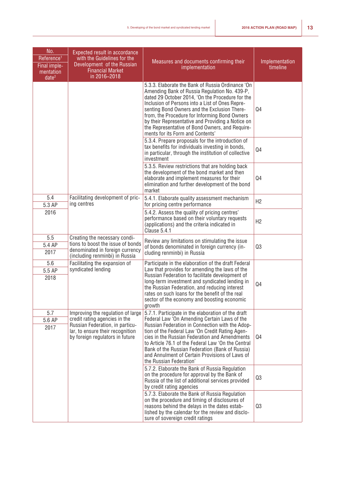| No.<br>Reference <sup>1</sup><br>Final imple-<br>mentation<br>date <sup>2</sup> | Expected result in accordance<br>with the Guidelines for the<br>Development of the Russian<br><b>Financial Market</b><br>in 2016-2018   | Measures and documents confirming their<br>implementation                                                                                                                                                                                                                                                                                                                                                                                              | Implementation<br>timeline |
|---------------------------------------------------------------------------------|-----------------------------------------------------------------------------------------------------------------------------------------|--------------------------------------------------------------------------------------------------------------------------------------------------------------------------------------------------------------------------------------------------------------------------------------------------------------------------------------------------------------------------------------------------------------------------------------------------------|----------------------------|
|                                                                                 |                                                                                                                                         | 5.3.3. Elaborate the Bank of Russia Ordinance 'On<br>Amending Bank of Russia Regulation No. 439-P,<br>dated 29 October 2014, 'On the Procedure for the<br>Inclusion of Persons into a List of Ones Repre-<br>senting Bond Owners and the Exclusion There-<br>from, the Procedure for Informing Bond Owners<br>by their Representative and Providing a Notice on<br>the Representative of Bond Owners, and Require-<br>ments for its Form and Contents' | Q4                         |
|                                                                                 |                                                                                                                                         | 5.3.4. Prepare proposals for the introduction of<br>tax benefits for individuals investing in bonds,<br>in particular, through the institution of collective<br>investment                                                                                                                                                                                                                                                                             | Q4                         |
|                                                                                 |                                                                                                                                         | 5.3.5. Review restrictions that are holding back<br>the development of the bond market and then<br>elaborate and implement measures for their<br>elimination and further development of the bond<br>market                                                                                                                                                                                                                                             | Q4                         |
| 5.4<br>5.3 AP                                                                   | Facilitating development of pric-<br>ing centres                                                                                        | 5.4.1. Elaborate quality assessment mechanism<br>for pricing centre performance                                                                                                                                                                                                                                                                                                                                                                        | H2                         |
| 2016                                                                            |                                                                                                                                         | 5.4.2. Assess the quality of pricing centres'<br>performance based on their voluntary requests<br>(applications) and the criteria indicated in<br>Clause 5.4.1                                                                                                                                                                                                                                                                                         | H2                         |
| 5.5                                                                             | Creating the necessary condi-                                                                                                           | Review any limitations on stimulating the issue                                                                                                                                                                                                                                                                                                                                                                                                        |                            |
| 5.4 AP<br>2017                                                                  | tions to boost the issue of bonds<br>denominated in foreign currency<br>(including renminbi) in Russia                                  | of bonds denominated in foreign currency (in-<br>cluding renminbi) in Russia                                                                                                                                                                                                                                                                                                                                                                           | Q3                         |
| 5.6<br>5.5 AP<br>2018                                                           | Facilitating the expansion of<br>syndicated lending                                                                                     | Participate in the elaboration of the draft Federal<br>Law that provides for amending the laws of the<br>Russian Federation to facilitate development of<br>long-term investment and syndicated lending in<br>the Russian Federation, and reducing interest<br>rates on such loans for the benefit of the real<br>sector of the economy and boosting economic<br>growth                                                                                | Q4                         |
| 5.7                                                                             | Improving the regulation of large                                                                                                       | 5.7.1. Participate in the elaboration of the draft                                                                                                                                                                                                                                                                                                                                                                                                     |                            |
| 5.6 AP<br>2017                                                                  | credit rating agencies in the<br>Russian Federation, in particu-<br>lar, to ensure their recognition<br>by foreign regulators in future | Federal Law 'On Amending Certain Laws of the<br>Russian Federation in Connection with the Adop-<br>tion of the Federal Law 'On Credit Rating Agen-<br>cies in the Russian Federation and Amendments<br>to Article 76.1 of the Federal Law 'On the Central<br>Bank of the Russian Federation (Bank of Russia)<br>and Annulment of Certain Provisions of Laws of<br>the Russian Federation'                                                              | Q4                         |
|                                                                                 |                                                                                                                                         | 5.7.2. Elaborate the Bank of Russia Regulation<br>on the procedure for approval by the Bank of<br>Russia of the list of additional services provided<br>by credit rating agencies                                                                                                                                                                                                                                                                      | Q3                         |
|                                                                                 |                                                                                                                                         | 5.7.3. Elaborate the Bank of Russia Regulation<br>on the procedure and timing of disclosures of<br>reasons behind the delays in the dates estab-<br>lished by the calendar for the review and disclo-<br>sure of sovereign credit ratings                                                                                                                                                                                                              | Q3                         |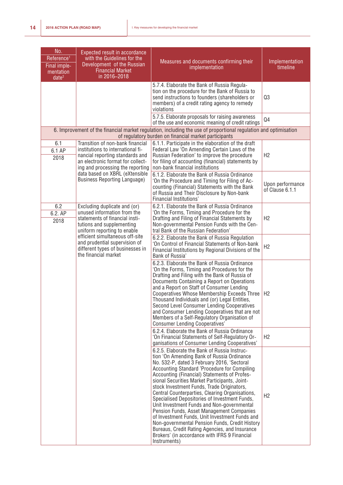| No.<br>Reference <sup>1</sup><br>Final imple-<br>mentation<br>date <sup>2</sup> | Expected result in accordance<br>with the Guidelines for the<br>Development of the Russian<br><b>Financial Market</b><br>in 2016-2018                                             | Measures and documents confirming their<br>implementation                                                                                                                                                                                                                                                                                                                                                                                                                                                                                                                                                                                                                                                                                                      | Implementation<br>timeline          |
|---------------------------------------------------------------------------------|-----------------------------------------------------------------------------------------------------------------------------------------------------------------------------------|----------------------------------------------------------------------------------------------------------------------------------------------------------------------------------------------------------------------------------------------------------------------------------------------------------------------------------------------------------------------------------------------------------------------------------------------------------------------------------------------------------------------------------------------------------------------------------------------------------------------------------------------------------------------------------------------------------------------------------------------------------------|-------------------------------------|
|                                                                                 |                                                                                                                                                                                   | 5.7.4. Elaborate the Bank of Russia Regula-<br>tion on the procedure for the Bank of Russia to<br>send instructions to founders (shareholders or<br>members) of a credit rating agency to remedy<br>violations                                                                                                                                                                                                                                                                                                                                                                                                                                                                                                                                                 | Q3                                  |
|                                                                                 |                                                                                                                                                                                   | 5.7.5. Elaborate proposals for raising awareness<br>of the use and economic meaning of credit ratings                                                                                                                                                                                                                                                                                                                                                                                                                                                                                                                                                                                                                                                          | Q4                                  |
|                                                                                 |                                                                                                                                                                                   | 6. Improvement of the financial market regulation, including the use of proportional regulation and optimisation<br>of regulatory burden on financial market participants                                                                                                                                                                                                                                                                                                                                                                                                                                                                                                                                                                                      |                                     |
| 6.1<br>6.1 AP<br>2018                                                           | Transition of non-bank financial<br>institutions to international fi-<br>nancial reporting standards and<br>an electronic format for collect-<br>ing and processing the reporting | 6.1.1. Participate in the elaboration of the draft<br>Federal Law 'On Amending Certain Laws of the<br>Russian Federation' to improve the procedure<br>for filing of accounting (financial) statements by<br>non-bank financial institutions                                                                                                                                                                                                                                                                                                                                                                                                                                                                                                                    | H <sub>2</sub>                      |
|                                                                                 | data based on XBRL (eXtensible<br><b>Business Reporting Language)</b>                                                                                                             | 6.1.2. Elaborate the Bank of Russia Ordinance<br>'On the Procedure and Timing for Filing of Ac-<br>counting (Financial) Statements with the Bank<br>of Russia and Their Disclosure by Non-bank<br>Financial Institutions'                                                                                                                                                                                                                                                                                                                                                                                                                                                                                                                                      | Upon performance<br>of Clause 6.1.1 |
| 6.2<br>6.2. AP<br>2018                                                          | Excluding duplicate and (or)<br>unused information from the<br>statements of financial insti-<br>tutions and supplementing<br>uniform reporting to enable                         | 6.2.1. Elaborate the Bank of Russia Ordinance<br>'On the Forms, Timing and Procedure for the<br>Drafting and Filing of Financial Statements by<br>Non-governmental Pension Funds with the Cen-<br>tral Bank of the Russian Federation'                                                                                                                                                                                                                                                                                                                                                                                                                                                                                                                         | H2                                  |
|                                                                                 | efficient simultaneous off-site<br>and prudential supervision of<br>different types of businesses in<br>the financial market                                                      | 6.2.2. Elaborate the Bank of Russia Regulation<br>'On Control of Financial Statements of Non-bank<br>Financial Institutions by Regional Divisions of the<br>Bank of Russia'                                                                                                                                                                                                                                                                                                                                                                                                                                                                                                                                                                                    | H <sub>2</sub>                      |
|                                                                                 |                                                                                                                                                                                   | 6.2.3. Elaborate the Bank of Russia Ordinance<br>'On the Forms, Timing and Procedures for the<br>Drafting and Filing with the Bank of Russia of<br>Documents Containing a Report on Operations<br>and a Report on Staff of Consumer Lending<br><b>Cooperatives Whose Membership Exceeds Three</b><br>Thousand Individuals and (or) Legal Entities,<br>Second Level Consumer Lending Cooperatives<br>and Consumer Lending Cooperatives that are not<br>Members of a Self-Regulatory Organisation of<br><b>Consumer Lending Cooperatives'</b>                                                                                                                                                                                                                    | H <sub>2</sub>                      |
|                                                                                 |                                                                                                                                                                                   | 6.2.4. Elaborate the Bank of Russia Ordinance<br>'On Financial Statements of Self-Regulatory Or-<br>ganisations of Consumer Lending Cooperatives'                                                                                                                                                                                                                                                                                                                                                                                                                                                                                                                                                                                                              | H2                                  |
|                                                                                 |                                                                                                                                                                                   | 6.2.5. Elaborate the Bank of Russia Instruc-<br>tion 'On Amending Bank of Russia Ordinance<br>No. 532-P, dated 3 February 2016, 'Sectoral<br>Accounting Standard 'Procedure for Compiling<br>Accounting (Financial) Statements of Profes-<br>sional Securities Market Participants, Joint-<br>stock Investment Funds, Trade Originators,<br>Central Counterparties, Clearing Organisations,<br>Specialised Depositories of Investment Funds,<br>Unit Investment Funds and Non-governmental<br>Pension Funds, Asset Management Companies<br>of Investment Funds, Unit Investment Funds and<br>Non-governmental Pension Funds, Credit History<br>Bureaus, Credit Rating Agencies, and Insurance<br>Brokers' (in accordance with IFRS 9 Financial<br>Instruments) | H2                                  |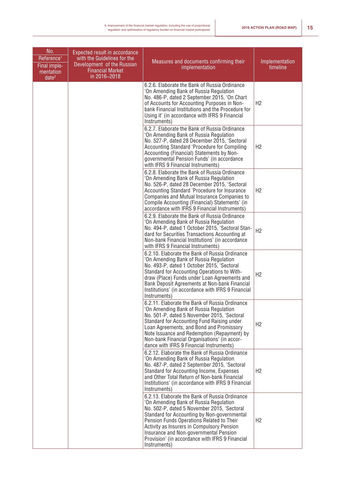| No.<br>Reference <sup>1</sup><br>Final imple-<br>mentation<br>date <sup>2</sup> | Expected result in accordance<br>with the Guidelines for the<br>Development of the Russian<br><b>Financial Market</b><br>in 2016-2018 | Measures and documents confirming their<br>implementation                                                                                                                                                                                                                                                                                                                                      | Implementation<br>timeline |
|---------------------------------------------------------------------------------|---------------------------------------------------------------------------------------------------------------------------------------|------------------------------------------------------------------------------------------------------------------------------------------------------------------------------------------------------------------------------------------------------------------------------------------------------------------------------------------------------------------------------------------------|----------------------------|
|                                                                                 |                                                                                                                                       | 6.2.6. Elaborate the Bank of Russia Ordinance<br>'On Amending Bank of Russia Regulation<br>No. 486-P, dated 2 September 2015, 'On Chart<br>of Accounts for Accounting Purposes in Non-<br>bank Financial Institutions and the Procedure for<br>Using it' (in accordance with IFRS 9 Financial<br>Instruments)                                                                                  | H <sub>2</sub>             |
|                                                                                 |                                                                                                                                       | 6.2.7. Elaborate the Bank of Russia Ordinance<br>'On Amending Bank of Russia Regulation<br>No. 527-P, dated 28 December 2015, 'Sectoral<br>Accounting Standard 'Procedure for Compiling<br>Accounting (Financial) Statements by Non-<br>governmental Pension Funds' (in accordance<br>with IFRS 9 Financial Instruments)                                                                       | H <sub>2</sub>             |
|                                                                                 |                                                                                                                                       | 6.2.8. Elaborate the Bank of Russia Ordinance<br>'On Amending Bank of Russia Regulation<br>No. 526-P, dated 28 December 2015, 'Sectoral<br>Accounting Standard 'Procedure for Insurance<br>Companies and Mutual Insurance Companies to<br>Compile Accounting (Financial) Statements' (in<br>accordance with IFRS 9 Financial Instruments)                                                      | H2                         |
|                                                                                 |                                                                                                                                       | 6.2.9. Elaborate the Bank of Russia Ordinance<br>'On Amending Bank of Russia Regulation<br>No. 494-P, dated 1 October 2015, 'Sectoral Stan-<br>dard for Securities Transactions Accounting at<br>Non-bank Financial Institutions' (in accordance<br>with IFRS 9 Financial Instruments)                                                                                                         | H <sub>2</sub>             |
|                                                                                 |                                                                                                                                       | 6.2.10. Elaborate the Bank of Russia Ordinance<br>'On Amending Bank of Russia Regulation<br>No. 493-P, dated 1 October 2015, 'Sectoral<br>Standard for Accounting Operations to With-<br>draw (Place) Funds under Loan Agreements and<br>Bank Deposit Agreements at Non-bank Financial<br>Institutions' (in accordance with IFRS 9 Financial<br>Instruments)                                   | H2                         |
|                                                                                 |                                                                                                                                       | 6.2.11. Elaborate the Bank of Russia Ordinance<br>'On Amending Bank of Russia Regulation<br>No. 501-P, dated 5 November 2015, 'Sectoral<br>Standard for Accounting Fund Raising under<br>Loan Agreements, and Bond and Promissory<br>Note Issuance and Redemption (Repayment) by<br>Non-bank Financial Organisations' (in accor-<br>dance with IFRS 9 Financial Instruments)                   | H <sub>2</sub>             |
|                                                                                 |                                                                                                                                       | 6.2.12. Elaborate the Bank of Russia Ordinance<br>'On Amending Bank of Russia Regulation<br>No. 487-P, dated 2 September 2015, 'Sectoral<br>Standard for Accounting Income, Expenses<br>and Other Total Return of Non-bank Financial<br>Institutions' (in accordance with IFRS 9 Financial<br>Instruments)                                                                                     | H <sub>2</sub>             |
|                                                                                 |                                                                                                                                       | 6.2.13. Elaborate the Bank of Russia Ordinance<br>'On Amending Bank of Russia Regulation<br>No. 502-P, dated 5 November 2015, 'Sectoral<br>Standard for Accounting by Non-governmental<br>Pension Funds Operations Related to Their<br>Activity as Insurers in Compulsory Pension<br>Insurance and Non-governmental Pension<br>Provision' (in accordance with IFRS 9 Financial<br>Instruments) | H <sub>2</sub>             |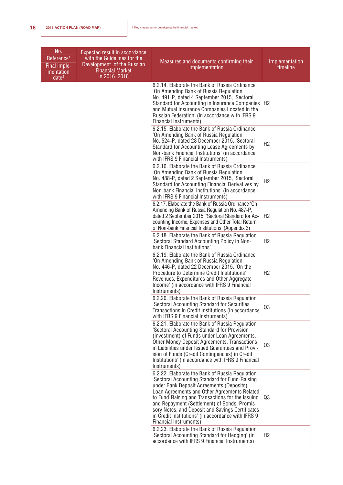| No.<br>Reference <sup>1</sup><br>Final imple-<br>mentation<br>date <sup>2</sup> | Expected result in accordance<br>with the Guidelines for the<br>Development of the Russian<br><b>Financial Market</b><br>in 2016-2018 | Measures and documents confirming their<br>implementation                                                                                                                                                                                                                                                                                                                                                                              | Implementation<br>timeline |
|---------------------------------------------------------------------------------|---------------------------------------------------------------------------------------------------------------------------------------|----------------------------------------------------------------------------------------------------------------------------------------------------------------------------------------------------------------------------------------------------------------------------------------------------------------------------------------------------------------------------------------------------------------------------------------|----------------------------|
|                                                                                 |                                                                                                                                       | 6.2.14. Elaborate the Bank of Russia Ordinance<br>'On Amending Bank of Russia Regulation<br>No. 491-P, dated 4 September 2015, 'Sectoral<br>Standard for Accounting in Insurance Companies<br>and Mutual Insurance Companies Located in the<br>Russian Federation' (in accordance with IFRS 9<br><b>Financial Instruments)</b>                                                                                                         | H <sub>2</sub>             |
|                                                                                 |                                                                                                                                       | 6.2.15. Elaborate the Bank of Russia Ordinance<br>'On Amending Bank of Russia Regulation<br>No. 524-P, dated 28 December 2015, 'Sectoral<br>Standard for Accounting Lease Agreements by<br>Non-bank Financial Institutions' (in accordance<br>with IFRS 9 Financial Instruments)                                                                                                                                                       | H <sub>2</sub>             |
|                                                                                 |                                                                                                                                       | 6.2.16. Elaborate the Bank of Russia Ordinance<br>'On Amending Bank of Russia Regulation<br>No. 488-P, dated 2 September 2015, 'Sectoral<br>Standard for Accounting Financial Derivatives by<br>Non-bank Financial Institutions' (in accordance<br>with IFRS 9 Financial Instruments)                                                                                                                                                  | H <sub>2</sub>             |
|                                                                                 |                                                                                                                                       | 6.2.17. Elaborate the Bank of Russia Ordinance 'On<br>Amending Bank of Russia Regulation No. 487-P,<br>dated 2 September 2015, 'Sectoral Standard for Ac-<br>counting Income, Expenses and Other Total Return<br>of Non-bank Financial Institutions' (Appendix 3)                                                                                                                                                                      | H2                         |
|                                                                                 |                                                                                                                                       | 6.2.18. Elaborate the Bank of Russia Regulation<br>'Sectoral Standard Accounting Policy in Non-<br>bank Financial Institutions'                                                                                                                                                                                                                                                                                                        | H <sub>2</sub>             |
|                                                                                 |                                                                                                                                       | 6.2.19. Elaborate the Bank of Russia Ordinance<br>'On Amending Bank of Russia Regulation<br>No. 446-P, dated 22 December 2015, 'On the<br>Procedure to Determine Credit Institutions'<br>Revenues, Expenditures and Other Aggregate<br>Income' (in accordance with IFRS 9 Financial<br>Instruments)                                                                                                                                    | H <sub>2</sub>             |
|                                                                                 |                                                                                                                                       | 6.2.20. Elaborate the Bank of Russia Regulation<br>'Sectoral Accounting Standard for Securities<br>Transactions in Credit Institutions (in accordance<br>with IFRS 9 Financial Instruments)                                                                                                                                                                                                                                            | Q3                         |
|                                                                                 |                                                                                                                                       | 6.2.21. Elaborate the Bank of Russia Regulation<br>'Sectoral Accounting Standard for Provision<br>(Investment) of Funds under Loan Agreements,<br>Other Money Deposit Agreements, Transactions<br>in Liabilities under Issued Guarantees and Provi-<br>sion of Funds (Credit Contingencies) in Credit<br>Institutions' (in accordance with IFRS 9 Financial<br>Instruments)                                                            | Q3                         |
|                                                                                 |                                                                                                                                       | 6.2.22. Elaborate the Bank of Russia Regulation<br>'Sectoral Accounting Standard for Fund-Raising<br>under Bank Deposit Agreements (Deposits),<br>Loan Agreements and Other Agreements Related<br>to Fund-Raising and Transactions for the Issuing<br>and Repayment (Settlement) of Bonds, Promis-<br>sory Notes, and Deposit and Savings Certificates<br>in Credit Institutions' (in accordance with IFRS 9<br>Financial Instruments) | Q3                         |
|                                                                                 |                                                                                                                                       | 6.2.23. Elaborate the Bank of Russia Regulation<br>'Sectoral Accounting Standard for Hedging' (in<br>accordance with IFRS 9 Financial Instruments)                                                                                                                                                                                                                                                                                     | H <sub>2</sub>             |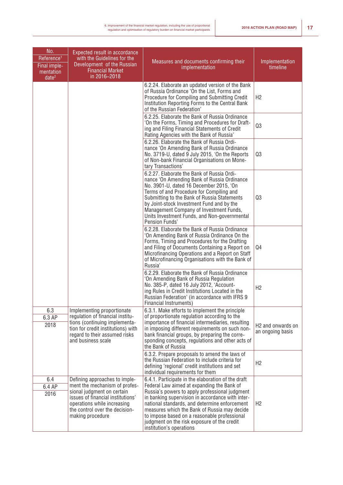| No.<br>Reference <sup>1</sup><br>Final imple-<br>mentation<br>date <sup>2</sup> | Expected result in accordance<br>with the Guidelines for the<br>Development of the Russian<br><b>Financial Market</b><br>in 2016-2018                                                                                  | Measures and documents confirming their<br>implementation                                                                                                                                                                                                                                                                                                                                                                          | Implementation<br>timeline                        |
|---------------------------------------------------------------------------------|------------------------------------------------------------------------------------------------------------------------------------------------------------------------------------------------------------------------|------------------------------------------------------------------------------------------------------------------------------------------------------------------------------------------------------------------------------------------------------------------------------------------------------------------------------------------------------------------------------------------------------------------------------------|---------------------------------------------------|
|                                                                                 |                                                                                                                                                                                                                        | 6.2.24. Elaborate an updated version of the Bank<br>of Russia Ordinance 'On the List, Forms and<br>Procedure for Compiling and Submitting Credit<br>Institution Reporting Forms to the Central Bank<br>of the Russian Federation'                                                                                                                                                                                                  | H2                                                |
|                                                                                 |                                                                                                                                                                                                                        | 6.2.25. Elaborate the Bank of Russia Ordinance<br>'On the Forms, Timing and Procedures for Draft-<br>ing and Filing Financial Statements of Credit<br>Rating Agencies with the Bank of Russia'                                                                                                                                                                                                                                     | Q3                                                |
|                                                                                 |                                                                                                                                                                                                                        | 6.2.26. Elaborate the Bank of Russia Ordi-<br>nance 'On Amending Bank of Russia Ordinance<br>No. 3719-U, dated 9 July 2015, 'On the Reports<br>of Non-bank Financial Organisations on Mone-<br>tary Transactions'                                                                                                                                                                                                                  | Q3                                                |
|                                                                                 |                                                                                                                                                                                                                        | 6.2.27. Elaborate the Bank of Russia Ordi-<br>nance 'On Amending Bank of Russia Ordinance<br>No. 3901-U, dated 16 December 2015, 'On<br>Terms of and Procedure for Compiling and<br>Submitting to the Bank of Russia Statements<br>by Joint-stock Investment Fund and by the<br>Management Company of Investment Funds,<br>Units Investment Funds, and Non-governmental<br>Pension Funds'                                          | Q3                                                |
|                                                                                 |                                                                                                                                                                                                                        | 6.2.28. Elaborate the Bank of Russia Ordinance<br>'On Amending Bank of Russia Ordinance On the<br>Forms, Timing and Procedures for the Drafting<br>and Filing of Documents Containing a Report on<br>Microfinancing Operations and a Report on Staff<br>of Microfinancing Organisations with the Bank of<br>Russia'                                                                                                                | Q4                                                |
|                                                                                 |                                                                                                                                                                                                                        | 6.2.29. Elaborate the Bank of Russia Ordinance<br>'On Amending Bank of Russia Regulation<br>No. 385-P, dated 16 July 2012, 'Account-<br>ing Rules in Credit Institutions Located in the<br>Russian Federation' (in accordance with IFRS 9<br>Financial Instruments)                                                                                                                                                                | H2                                                |
| 6.3<br>6.3 AP<br>2018                                                           | Implementing proportionate<br>regulation of financial institu-<br>tions (continuing implementa-<br>tion for credit institutions) with<br>regard to their assumed risks<br>and business scale                           | 6.3.1. Make efforts to implement the principle<br>of proportionate regulation according to the<br>importance of financial intermediaries, resulting<br>in imposing different requirements on such non-<br>bank financial groups, by preparing the corre-<br>sponding concepts, regulations and other acts of<br>the Bank of Russia                                                                                                 | H <sub>2</sub> and onwards on<br>an ongoing basis |
|                                                                                 |                                                                                                                                                                                                                        | 6.3.2. Prepare proposals to amend the laws of<br>the Russian Federation to include criteria for<br>defining 'regional' credit institutions and set<br>individual requirements for them                                                                                                                                                                                                                                             | H2                                                |
| 6.4<br>6.4 AP<br>2016                                                           | Defining approaches to imple-<br>ment the mechanism of profes-<br>sional judgment on certain<br>issues of financial institutions'<br>operations while increasing<br>the control over the decision-<br>making procedure | 6.4.1. Participate in the elaboration of the draft<br>Federal Law aimed at expanding the Bank of<br>Russia's powers to apply professional judgment<br>in banking supervision in accordance with inter-<br>national standards, and determine enforcement<br>measures which the Bank of Russia may decide<br>to impose based on a reasonable professional<br>judgment on the risk exposure of the credit<br>institution's operations | H <sub>2</sub>                                    |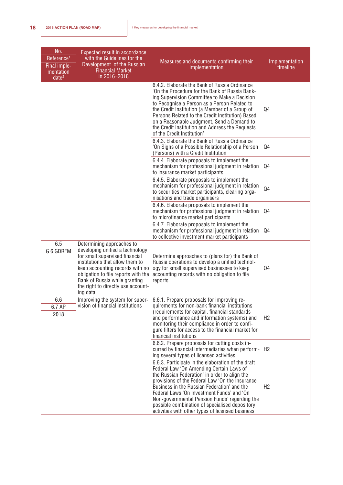| No.<br>Reference <sup>1</sup><br>Final imple-<br>mentation<br>date <sup>2</sup> | <b>Expected result in accordance</b><br>with the Guidelines for the<br>Development of the Russian<br><b>Financial Market</b><br>in 2016-2018                                                                                                                                                   | Measures and documents confirming their<br>implementation                                                                                                                                                                                                                                                                                                                                                                                              | Implementation<br>timeline |
|---------------------------------------------------------------------------------|------------------------------------------------------------------------------------------------------------------------------------------------------------------------------------------------------------------------------------------------------------------------------------------------|--------------------------------------------------------------------------------------------------------------------------------------------------------------------------------------------------------------------------------------------------------------------------------------------------------------------------------------------------------------------------------------------------------------------------------------------------------|----------------------------|
|                                                                                 |                                                                                                                                                                                                                                                                                                | 6.4.2. Elaborate the Bank of Russia Ordinance<br>'On the Procedure for the Bank of Russia Bank-<br>ing Supervision Committee to Make a Decision<br>to Recognise a Person as a Person Related to<br>the Credit Institution (a Member of a Group of<br>Persons Related to the Credit Institution) Based<br>on a Reasonable Judgment, Send a Demand to<br>the Credit Institution and Address the Requests<br>of the Credit Institution'                   | Q4                         |
|                                                                                 |                                                                                                                                                                                                                                                                                                | 6.4.3. Elaborate the Bank of Russia Ordinance<br>'On Signs of a Possible Relationship of a Person<br>(Persons) with a Credit Institution'                                                                                                                                                                                                                                                                                                              | Q <sub>4</sub>             |
|                                                                                 |                                                                                                                                                                                                                                                                                                | 6.4.4. Elaborate proposals to implement the<br>mechanism for professional judgment in relation<br>to insurance market participants                                                                                                                                                                                                                                                                                                                     | Q4                         |
|                                                                                 |                                                                                                                                                                                                                                                                                                | 6.4.5. Elaborate proposals to implement the<br>mechanism for professional judgment in relation<br>to securities market participants, clearing orga-<br>nisations and trade organisers                                                                                                                                                                                                                                                                  | Q <sub>4</sub>             |
|                                                                                 |                                                                                                                                                                                                                                                                                                | 6.4.6. Elaborate proposals to implement the<br>mechanism for professional judgment in relation<br>to microfinance market participants                                                                                                                                                                                                                                                                                                                  | Q4                         |
|                                                                                 |                                                                                                                                                                                                                                                                                                | 6.4.7. Elaborate proposals to implement the<br>mechanism for professional judgment in relation<br>to collective investment market participants                                                                                                                                                                                                                                                                                                         | Q4                         |
| 6.5<br>G 6 GDRFM                                                                | Determining approaches to<br>developing unified a technology<br>for small supervised financial<br>institutions that allow them to<br>keep accounting records with no<br>obligation to file reports with the<br>Bank of Russia while granting<br>the right to directly use account-<br>ing data | Determine approaches to (plans for) the Bank of<br>Russia operations to develop a unified technol-<br>ogy for small supervised businesses to keep<br>accounting records with no obligation to file<br>reports                                                                                                                                                                                                                                          | Q4                         |
| 6.6<br>6.7 AP<br>2018                                                           | Improving the system for super-<br>vision of financial institutions                                                                                                                                                                                                                            | 6.6.1. Prepare proposals for improving re-<br>quirements for non-bank financial institutions<br>(requirements for capital, financial standards)<br>and performance and information systems) and<br>monitoring their compliance in order to confi-<br>gure filters for access to the financial market for<br>financial institutions                                                                                                                     | H2                         |
|                                                                                 |                                                                                                                                                                                                                                                                                                | 6.6.2. Prepare proposals for cutting costs in-<br>curred by financial intermediaries when perform-<br>ing several types of licensed activities                                                                                                                                                                                                                                                                                                         | H2                         |
|                                                                                 |                                                                                                                                                                                                                                                                                                | 6.6.3. Participate in the elaboration of the draft<br>Federal Law 'On Amending Certain Laws of<br>the Russian Federation' in order to align the<br>provisions of the Federal Law 'On the Insurance<br>Business in the Russian Federation' and the<br>Federal Laws 'On Investment Funds' and 'On<br>Non-governmental Pension Funds' regarding the<br>possible combination of specialised depository<br>activities with other types of licensed business | H <sub>2</sub>             |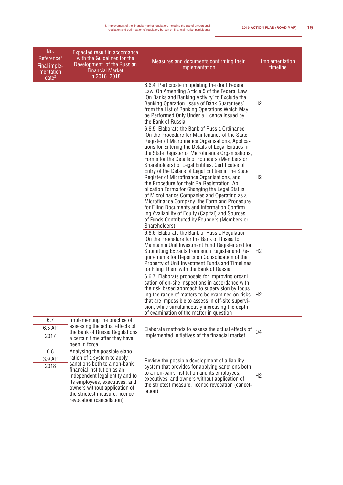| No.<br>Reference <sup>1</sup><br>Final imple-<br>mentation<br>date <sup>2</sup> | Expected result in accordance<br>with the Guidelines for the<br>Development of the Russian<br><b>Financial Market</b><br>in 2016-2018                                                                                                                                                            | Measures and documents confirming their<br>implementation                                                                                                                                                                                                                                                                                                                                                                                                                                                                                                                                                                                                                                                                                                                                                                                          | Implementation<br>timeline |
|---------------------------------------------------------------------------------|--------------------------------------------------------------------------------------------------------------------------------------------------------------------------------------------------------------------------------------------------------------------------------------------------|----------------------------------------------------------------------------------------------------------------------------------------------------------------------------------------------------------------------------------------------------------------------------------------------------------------------------------------------------------------------------------------------------------------------------------------------------------------------------------------------------------------------------------------------------------------------------------------------------------------------------------------------------------------------------------------------------------------------------------------------------------------------------------------------------------------------------------------------------|----------------------------|
|                                                                                 |                                                                                                                                                                                                                                                                                                  | 6.6.4. Participate in updating the draft Federal<br>Law 'On Amending Article 5 of the Federal Law<br>'On Banks and Banking Activity' to Exclude the<br>Banking Operation 'Issue of Bank Guarantees'<br>from the List of Banking Operations Which May<br>be Performed Only Under a Licence Issued by<br>the Bank of Russia'                                                                                                                                                                                                                                                                                                                                                                                                                                                                                                                         | H2                         |
|                                                                                 |                                                                                                                                                                                                                                                                                                  | 6.6.5. Elaborate the Bank of Russia Ordinance<br>'On the Procedure for Maintenance of the State<br>Register of Microfinance Organisations, Applica-<br>tions for Entering the Details of Legal Entities in<br>the State Register of Microfinance Organisations,<br>Forms for the Details of Founders (Members or<br>Shareholders) of Legal Entities, Certificates of<br>Entry of the Details of Legal Entities in the State<br>Register of Microfinance Organisations, and<br>the Procedure for their Re-Registration, Ap-<br>plication Forms for Changing the Legal Status<br>of Microfinance Companies and Operating as a<br>Microfinance Company, the Form and Procedure<br>for Filing Documents and Information Confirm-<br>ing Availability of Equity (Capital) and Sources<br>of Funds Contributed by Founders (Members or<br>Shareholders)' | H <sub>2</sub>             |
|                                                                                 |                                                                                                                                                                                                                                                                                                  | 6.6.6. Elaborate the Bank of Russia Regulation<br>'On the Procedure for the Bank of Russia to<br>Maintain a Unit Investment Fund Register and for<br>Submitting Extracts from such Register and Re-<br>quirements for Reports on Consolidation of the<br>Property of Unit Investment Funds and Timelines<br>for Filing Them with the Bank of Russia'                                                                                                                                                                                                                                                                                                                                                                                                                                                                                               | H2                         |
|                                                                                 |                                                                                                                                                                                                                                                                                                  | 6.6.7. Elaborate proposals for improving organi-<br>sation of on-site inspections in accordance with<br>the risk-based approach to supervision by focus-<br>ing the range of matters to be examined on risks<br>that are impossible to assess in off-site supervi-<br>sion, while simultaneously increasing the depth<br>of examination of the matter in question                                                                                                                                                                                                                                                                                                                                                                                                                                                                                  | H <sub>2</sub>             |
| 6.7<br>6.5 AP<br>2017                                                           | Implementing the practice of<br>assessing the actual effects of<br>the Bank of Russia Regulations<br>a certain time after they have<br>been in force                                                                                                                                             | Elaborate methods to assess the actual effects of<br>implemented initiatives of the financial market                                                                                                                                                                                                                                                                                                                                                                                                                                                                                                                                                                                                                                                                                                                                               | Q4                         |
| 6.8<br>3.9 AP<br>2018                                                           | Analysing the possible elabo-<br>ration of a system to apply<br>sanctions both to a non-bank<br>financial institution as an<br>independent legal entity and to<br>its employees, executives, and<br>owners without application of<br>the strictest measure, licence<br>revocation (cancellation) | Review the possible development of a liability<br>system that provides for applying sanctions both<br>to a non-bank institution and its employees,<br>executives, and owners without application of<br>the strictest measure, licence revocation (cancel-<br>lation)                                                                                                                                                                                                                                                                                                                                                                                                                                                                                                                                                                               | H2                         |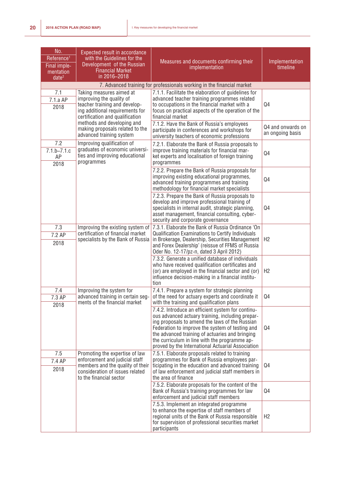| No.<br>Reference <sup>1</sup><br>Final imple-<br>mentation<br>date <sup>2</sup> | <b>Expected result in accordance</b><br>with the Guidelines for the<br>Development of the Russian<br><b>Financial Market</b><br>in 2016-2018                       | Measures and documents confirming their<br>implementation                                                                                                                                                                                                                                                                                                           | Implementation<br>timeline            |
|---------------------------------------------------------------------------------|--------------------------------------------------------------------------------------------------------------------------------------------------------------------|---------------------------------------------------------------------------------------------------------------------------------------------------------------------------------------------------------------------------------------------------------------------------------------------------------------------------------------------------------------------|---------------------------------------|
|                                                                                 |                                                                                                                                                                    | 7. Advanced training for professionals working in the financial market                                                                                                                                                                                                                                                                                              |                                       |
| 7.1<br>7.1.a AP<br>2018                                                         | Taking measures aimed at<br>improving the quality of<br>teacher training and develop-<br>ing additional requirements for<br>certification and qualification        | 7.1.1. Facilitate the elaboration of guidelines for<br>advanced teacher training programmes related<br>to occupations in the financial market with a<br>focus on practical aspects of the operation of the<br>financial market                                                                                                                                      | Q <sub>4</sub>                        |
|                                                                                 | methods and developing and<br>making proposals related to the<br>advanced training system                                                                          | 7.1.2. Have the Bank of Russia's employees<br>participate in conferences and workshops for<br>university teachers of economic professions                                                                                                                                                                                                                           | Q4 and onwards on<br>an ongoing basis |
| 7.2<br>$7.1.b - 7.1.c$<br>AP<br>2018                                            | Improving qualification of<br>graduates of economic universi-<br>ties and improving educational<br>programmes                                                      | 7.2.1. Elaborate the Bank of Russia proposals to<br>improve training materials for financial mar-<br>ket experts and localisation of foreign training<br>programmes                                                                                                                                                                                                 | Q4                                    |
|                                                                                 |                                                                                                                                                                    | 7.2.2. Prepare the Bank of Russia proposals for<br>improving existing educational programmes,<br>advanced training programmes and training<br>methodology for financial market specialists                                                                                                                                                                          | Q4                                    |
|                                                                                 |                                                                                                                                                                    | 7.2.3. Prepare the Bank of Russia proposals to<br>develop and improve professional training of<br>specialists in internal audit, strategic planning,<br>asset management, financial consulting, cyber-<br>security and corporate governance                                                                                                                         | Q4                                    |
| 7.3<br>7.2 AP<br>2018                                                           | Improving the existing system of<br>certification of financial market<br>specialists by the Bank of Russia                                                         | 7.3.1. Elaborate the Bank of Russia Ordinance 'On<br>Qualification Examinations to Certify Individuals<br>in Brokerage, Dealership, Securities Management<br>and Forex Dealership' (reissue of FFMS of Russia<br>Oder No. 12-17/pz-n, dated 3 April 2012)                                                                                                           | H <sub>2</sub>                        |
|                                                                                 |                                                                                                                                                                    | 7.3.2. Generate a unified database of individuals<br>who have received qualification certificates and<br>(or) are employed in the financial sector and (or)<br>influence decision-making in a financial institu-<br>tion                                                                                                                                            | H <sub>2</sub>                        |
| 7.4<br>7.3 AP<br>2018                                                           | Improving the system for<br>advanced training in certain seg-<br>ments of the financial market                                                                     | 7.4.1. Prepare a system for strategic planning<br>of the need for actuary experts and coordinate it<br>with the training and qualification plans                                                                                                                                                                                                                    | Q4                                    |
|                                                                                 |                                                                                                                                                                    | 7.4.2. Introduce an efficient system for continu-<br>ous advanced actuary training, including prepar-<br>ing proposals to amend the laws of the Russian<br>Federation to improve the system of testing and<br>the advanced training of actuaries and bringing<br>the curriculum in line with the programme ap-<br>proved by the International Actuarial Association | Q4                                    |
| 7.5<br>7.4 AP<br>2018                                                           | Promoting the expertise of law<br>enforcement and judicial staff<br>members and the quality of their<br>consideration of issues related<br>to the financial sector | 7.5.1. Elaborate proposals related to training<br>programmes for Bank of Russia employees par-<br>ticipating in the education and advanced training<br>of law enforcement and judicial staff members in<br>the area of finance                                                                                                                                      | Q <sub>4</sub>                        |
|                                                                                 |                                                                                                                                                                    | 7.5.2. Elaborate proposals for the content of the<br>Bank of Russia's training programmes for law<br>enforcement and judicial staff members                                                                                                                                                                                                                         | Q <sub>4</sub>                        |
|                                                                                 |                                                                                                                                                                    | 7.5.3. Implement an integrated programme<br>to enhance the expertise of staff members of<br>regional units of the Bank of Russia responsible<br>for supervision of professional securities market<br>participants                                                                                                                                                   | H2                                    |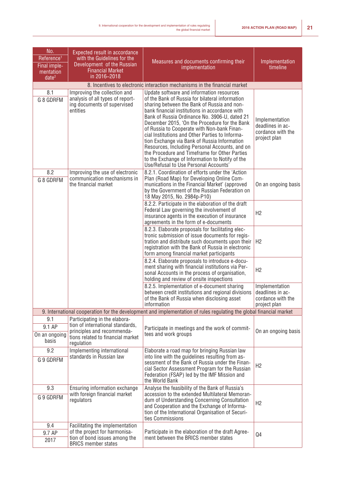| No.<br>Reference <sup>1</sup><br>Final imple-<br>mentation<br>date <sup>2</sup> | Expected result in accordance<br>with the Guidelines for the<br>Development of the Russian<br><b>Financial Market</b><br>in 2016-2018              | Measures and documents confirming their<br>implementation                                                                                                                                                                                                                                                                                                                                                                                                                                                                                                                                                                                        | Implementation<br>timeline                                              |
|---------------------------------------------------------------------------------|----------------------------------------------------------------------------------------------------------------------------------------------------|--------------------------------------------------------------------------------------------------------------------------------------------------------------------------------------------------------------------------------------------------------------------------------------------------------------------------------------------------------------------------------------------------------------------------------------------------------------------------------------------------------------------------------------------------------------------------------------------------------------------------------------------------|-------------------------------------------------------------------------|
|                                                                                 |                                                                                                                                                    | 8. Incentives to electronic interaction mechanisms in the financial market                                                                                                                                                                                                                                                                                                                                                                                                                                                                                                                                                                       |                                                                         |
| 8.1<br>G 8 GDRFM                                                                | Improving the collection and<br>analysis of all types of report-<br>ing documents of supervised<br>entities                                        | Update software and information resources<br>of the Bank of Russia for bilateral information<br>sharing between the Bank of Russia and non-<br>bank financial institutions in accordance with<br>Bank of Russia Ordinance No. 3906-U, dated 21<br>December 2015, 'On the Procedure for the Bank<br>of Russia to Cooperate with Non-bank Finan-<br>cial Institutions and Other Parties to Informa-<br>tion Exchange via Bank of Russia Information<br>Resources, Including Personal Accounts, and on<br>the Procedure and Timeframe for Other Parties<br>to the Exchange of Information to Notify of the<br>Use/Refusal to Use Personal Accounts' | Implementation<br>deadlines in ac-<br>cordance with the<br>project plan |
| 8.2<br>G 8 GDRFM                                                                | Improving the use of electronic<br>communication mechanisms in<br>the financial market                                                             | 8.2.1. Coordination of efforts under the 'Action<br>Plan (Road Map) for Developing Online Com-<br>munications in the Financial Market' (approved<br>by the Government of the Russian Federation on<br>18 May 2015, No. 2984p-P10)                                                                                                                                                                                                                                                                                                                                                                                                                | On an ongoing basis                                                     |
|                                                                                 |                                                                                                                                                    | 8.2.2. Participate in the elaboration of the draft<br>Federal Law governing the involvement of<br>insurance agents in the execution of insurance<br>agreements in the form of e-documents                                                                                                                                                                                                                                                                                                                                                                                                                                                        | H2                                                                      |
|                                                                                 |                                                                                                                                                    | 8.2.3. Elaborate proposals for facilitating elec-<br>tronic submission of issue documents for regis-<br>tration and distribute such documents upon their<br>registration with the Bank of Russia in electronic<br>form among financial market participants                                                                                                                                                                                                                                                                                                                                                                                       | H <sub>2</sub>                                                          |
|                                                                                 |                                                                                                                                                    | 8.2.4. Elaborate proposals to introduce e-docu-<br>ment sharing with financial institutions via Per-<br>sonal Accounts in the process of organisation,<br>holding and review of onsite inspections                                                                                                                                                                                                                                                                                                                                                                                                                                               | H2                                                                      |
|                                                                                 |                                                                                                                                                    | 8.2.5. Implementation of e-document sharing<br>between credit institutions and regional divisions<br>of the Bank of Russia when disclosing asset<br>information                                                                                                                                                                                                                                                                                                                                                                                                                                                                                  | Implementation<br>deadlines in ac-<br>cordance with the<br>project plan |
|                                                                                 |                                                                                                                                                    | 9. International cooperation for the development and implementation of rules regulating the global financial market                                                                                                                                                                                                                                                                                                                                                                                                                                                                                                                              |                                                                         |
| 9.1<br>9.1 AP<br>On an ongoing<br>basis                                         | Participating in the elabora-<br>tion of international standards,<br>principles and recommenda-<br>tions related to financial market<br>regulation | Participate in meetings and the work of commit-<br>tees and work groups                                                                                                                                                                                                                                                                                                                                                                                                                                                                                                                                                                          | On an ongoing basis                                                     |
| 9.2<br>G 9 GDRFM                                                                | Implementing international<br>standards in Russian law                                                                                             | Elaborate a road map for bringing Russian law<br>into line with the guidelines resulting from as-<br>sessment of the Bank of Russia under the Finan-<br>cial Sector Assessment Program for the Russian<br>Federation (FSAP) led by the IMF Mission and<br>the World Bank                                                                                                                                                                                                                                                                                                                                                                         | H <sub>2</sub>                                                          |
| 9.3<br>G 9 GDRFM                                                                | Ensuring information exchange<br>with foreign financial market<br>regulators                                                                       | Analyse the feasibility of the Bank of Russia's<br>accession to the extended Multilateral Memoran-<br>dum of Understanding Concerning Consultation<br>and Cooperation and the Exchange of Informa-                                                                                                                                                                                                                                                                                                                                                                                                                                               | H2                                                                      |
| 9.4                                                                             | Facilitating the implementation<br>of the project for harmonisa-                                                                                   | tion of the International Organisation of Securi-<br>ties Commissions<br>Participate in the elaboration of the draft Agree-                                                                                                                                                                                                                                                                                                                                                                                                                                                                                                                      |                                                                         |
| 9.7 AP<br>2017                                                                  | tion of bond issues among the<br><b>BRICS member states</b>                                                                                        | ment between the BRICS member states                                                                                                                                                                                                                                                                                                                                                                                                                                                                                                                                                                                                             | Q4                                                                      |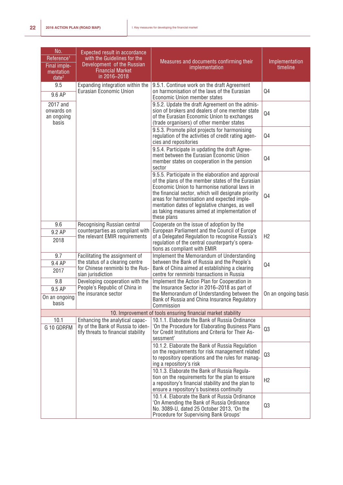| No.<br>Reference <sup>1</sup><br>Final imple-<br>mentation<br>date <sup>2</sup> | <b>Expected result in accordance</b><br>with the Guidelines for the<br>Development of the Russian<br><b>Financial Market</b><br>in 2016-2018 | Measures and documents confirming their<br>implementation                                                                                                                                                                                                                                                                                                                        | Implementation<br>timeline |
|---------------------------------------------------------------------------------|----------------------------------------------------------------------------------------------------------------------------------------------|----------------------------------------------------------------------------------------------------------------------------------------------------------------------------------------------------------------------------------------------------------------------------------------------------------------------------------------------------------------------------------|----------------------------|
| 9.5<br>9.6 AP                                                                   | Expanding integration within the<br>Eurasian Economic Union                                                                                  | 9.5.1. Continue work on the draft Agreement<br>on harmonisation of the laws of the Eurasian                                                                                                                                                                                                                                                                                      | Q <sub>4</sub>             |
| 2017 and<br>onwards on<br>an ongoing<br>basis                                   |                                                                                                                                              | Economic Union member states<br>9.5.2. Update the draft Agreement on the admis-<br>sion of brokers and dealers of one member state<br>of the Eurasian Economic Union to exchanges<br>(trade organisers) of other member states                                                                                                                                                   | Q <sub>4</sub>             |
|                                                                                 |                                                                                                                                              | 9.5.3. Promote pilot projects for harmonising<br>regulation of the activities of credit rating agen-<br>cies and repositories                                                                                                                                                                                                                                                    | Q <sub>4</sub>             |
|                                                                                 |                                                                                                                                              | 9.5.4. Participate in updating the draft Agree-<br>ment between the Eurasian Economic Union<br>member states on cooperation in the pension<br>sector                                                                                                                                                                                                                             | Q4                         |
|                                                                                 |                                                                                                                                              | 9.5.5. Participate in the elaboration and approval<br>of the plans of the member states of the Eurasian<br>Economic Union to harmonise national laws in<br>the financial sector, which will designate priority<br>areas for harmonisation and expected imple-<br>mentation dates of legislative changes, as well<br>as taking measures aimed at implementation of<br>these plans | Q <sub>4</sub>             |
| 9.6                                                                             | Recognising Russian central                                                                                                                  | Cooperate on the issue of adoption by the                                                                                                                                                                                                                                                                                                                                        |                            |
| 9.2 AP<br>2018                                                                  | counterparties as compliant with<br>the relevant EMIR requirements                                                                           | European Parliament and the Council of Europe<br>of a Delegated Regulation to recognise Russia's<br>regulation of the central counterparty's opera-<br>tions as compliant with EMIR                                                                                                                                                                                              | H2                         |
| 9.7<br>9.4 AP<br>2017                                                           | Facilitating the assignment of<br>the status of a clearing centre<br>for Chinese renminbi to the Rus-<br>sian jurisdiction                   | Implement the Memorandum of Understanding<br>between the Bank of Russia and the People's<br>Bank of China aimed at establishing a clearing<br>centre for renminbi transactions in Russia                                                                                                                                                                                         | Q4                         |
| 9.8                                                                             | Developing cooperation with the                                                                                                              | Implement the Action Plan for Cooperation in                                                                                                                                                                                                                                                                                                                                     |                            |
| 9.5 AP                                                                          | People's Republic of China in                                                                                                                | the Insurance Sector in 2016-2018 as part of                                                                                                                                                                                                                                                                                                                                     |                            |
| On an ongoing<br>basis                                                          | the insurance sector                                                                                                                         | the Memorandum of Understanding between the<br>Bank of Russia and China Insurance Regulatory<br>Commission                                                                                                                                                                                                                                                                       | On an ongoing basis        |
|                                                                                 |                                                                                                                                              | 10. Improvement of tools ensuring financial market stability                                                                                                                                                                                                                                                                                                                     |                            |
| 10.1<br>G 10 GDRFM                                                              | Enhancing the analytical capac-<br>ity of the Bank of Russia to iden-<br>tify threats to financial stability                                 | 10.1.1. Elaborate the Bank of Russia Ordinance<br>'On the Procedure for Elaborating Business Plans<br>for Credit Institutions and Criteria for Their As-<br>sessment'                                                                                                                                                                                                            | Q3                         |
|                                                                                 |                                                                                                                                              | 10.1.2. Elaborate the Bank of Russia Regulation<br>on the requirements for risk management related<br>to repository operations and the rules for manag-<br>ing a repository's risk                                                                                                                                                                                               | Q3                         |
|                                                                                 |                                                                                                                                              | 10.1.3. Elaborate the Bank of Russia Regula-<br>tion on the requirements for the plan to ensure<br>a repository's financial stability and the plan to<br>ensure a repository's business continuity                                                                                                                                                                               | H2                         |
|                                                                                 |                                                                                                                                              | 10.1.4. Elaborate the Bank of Russia Ordinance<br>'On Amending the Bank of Russia Ordinance<br>No. 3089-U, dated 25 October 2013, 'On the<br>Procedure for Supervising Bank Groups'                                                                                                                                                                                              | Q3                         |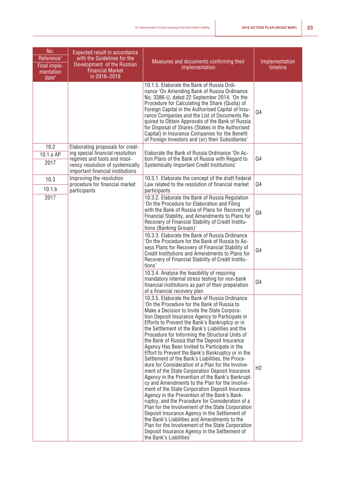| No.<br>Reference <sup>1</sup><br>Final imple- | <b>Expected result in accordance</b><br>with the Guidelines for the<br>Development of the Russian    | Measures and documents confirming their<br>implementation                                                                                                                                                                                                                                                                                                                                                                                                                                                                                                                                                                                                                                                                                                                                                                                                                                                                                                                                                                                                                                                                                                                                                                        | Implementation<br>timeline |
|-----------------------------------------------|------------------------------------------------------------------------------------------------------|----------------------------------------------------------------------------------------------------------------------------------------------------------------------------------------------------------------------------------------------------------------------------------------------------------------------------------------------------------------------------------------------------------------------------------------------------------------------------------------------------------------------------------------------------------------------------------------------------------------------------------------------------------------------------------------------------------------------------------------------------------------------------------------------------------------------------------------------------------------------------------------------------------------------------------------------------------------------------------------------------------------------------------------------------------------------------------------------------------------------------------------------------------------------------------------------------------------------------------|----------------------------|
| mentation<br>date <sup>2</sup>                | <b>Financial Market</b><br>in 2016-2018                                                              |                                                                                                                                                                                                                                                                                                                                                                                                                                                                                                                                                                                                                                                                                                                                                                                                                                                                                                                                                                                                                                                                                                                                                                                                                                  |                            |
|                                               |                                                                                                      | 10.1.5. Elaborate the Bank of Russia Ordi-<br>nance 'On Amending Bank of Russia Ordinance<br>No. 3386-U, dated 22 September 2014, 'On the<br>Procedure for Calculating the Share (Quota) of<br>Foreign Capital in the Authorised Capital of Insu-<br>rance Companies and the List of Documents Re-<br>quired to Obtain Approvals of the Bank of Russia<br>for Disposal of Shares (Stakes in the Authorised<br>Capital) in Insurance Companies for the Benefit<br>of Foreign Investors and (or) their Subsidiaries'                                                                                                                                                                                                                                                                                                                                                                                                                                                                                                                                                                                                                                                                                                               | Q4                         |
| 10.2                                          | Elaborating proposals for creat-<br>ing special financial resolution                                 | Elaborate the Bank of Russia Ordinance 'On Ac-                                                                                                                                                                                                                                                                                                                                                                                                                                                                                                                                                                                                                                                                                                                                                                                                                                                                                                                                                                                                                                                                                                                                                                                   |                            |
| 10.1.a AP<br>2017                             | regimes and tools and insol-<br>vency resolution of systemically<br>important financial institutions | tion Plans of the Bank of Russia with Regard to<br>Systemically Important Credit Institutions'                                                                                                                                                                                                                                                                                                                                                                                                                                                                                                                                                                                                                                                                                                                                                                                                                                                                                                                                                                                                                                                                                                                                   | Q4                         |
| 10.3                                          | Improving the resolution<br>procedure for financial market                                           | 10.3.1. Elaborate the concept of the draft Federal<br>Law related to the resolution of financial market                                                                                                                                                                                                                                                                                                                                                                                                                                                                                                                                                                                                                                                                                                                                                                                                                                                                                                                                                                                                                                                                                                                          | Q <sub>4</sub>             |
| 10.1.b                                        | participants                                                                                         | participants                                                                                                                                                                                                                                                                                                                                                                                                                                                                                                                                                                                                                                                                                                                                                                                                                                                                                                                                                                                                                                                                                                                                                                                                                     |                            |
|                                               | 2017                                                                                                 | 10.3.2. Elaborate the Bank of Russia Regulation<br>'On the Procedure for Elaboration and Filing<br>with the Bank of Russia of Plans for Recovery of<br>Financial Stability, and Amendments to Plans for<br>Recovery of Financial Stability of Credit Institu-<br>tions (Banking Groups)'                                                                                                                                                                                                                                                                                                                                                                                                                                                                                                                                                                                                                                                                                                                                                                                                                                                                                                                                         | Q4                         |
|                                               |                                                                                                      | 10.3.3. Elaborate the Bank of Russia Ordinance<br>'On the Procedure for the Bank of Russia to As-<br>sess Plans for Recovery of Financial Stability of<br>Credit Institutions and Amendments to Plans for<br>Recovery of Financial Stability of Credit Institu-<br>tions'                                                                                                                                                                                                                                                                                                                                                                                                                                                                                                                                                                                                                                                                                                                                                                                                                                                                                                                                                        | Q <sub>4</sub>             |
|                                               |                                                                                                      | 10.3.4. Analyse the feasibility of requiring<br>mandatory internal stress testing for non-bank<br>financial institutions as part of their preparation<br>of a financial recovery plan                                                                                                                                                                                                                                                                                                                                                                                                                                                                                                                                                                                                                                                                                                                                                                                                                                                                                                                                                                                                                                            | Q <sub>4</sub>             |
|                                               |                                                                                                      | 10.3.5. Elaborate the Bank of Russia Ordinance<br>'On the Procedure for the Bank of Russia to<br>Make a Decision to Invite the State Corpora-<br>tion Deposit Insurance Agency to Participate in<br>Efforts to Prevent the Bank's Bankruptcy or in<br>the Settlement of the Bank's Liabilities and the<br>Procedure for Informing the Structural Units of<br>the Bank of Russia that the Deposit Insurance<br>Agency Has Been Invited to Participate in the<br>Effort to Prevent the Bank's Bankruptcy or in the<br>Settlement of the Bank's Liabilities, the Proce-<br>dure for Consideration of a Plan for the Involve-<br>ment of the State Corporation Deposit Insurance<br>Agency in the Prevention of the Bank's Bankrupt-<br>cy and Amendments to the Plan for the Involve-<br>ment of the State Corporation Deposit Insurance<br>Agency in the Prevention of the Bank's Bank-<br>ruptcy, and the Procedure for Consideration of a<br>Plan for the Involvement of the State Corporation<br>Deposit Insurance Agency in the Settlement of<br>the Bank's Liabilities and Amendments to the<br>Plan for the Involvement of the State Corporation<br>Deposit Insurance Agency in the Settlement of<br>the Bank's Liabilities' | H2                         |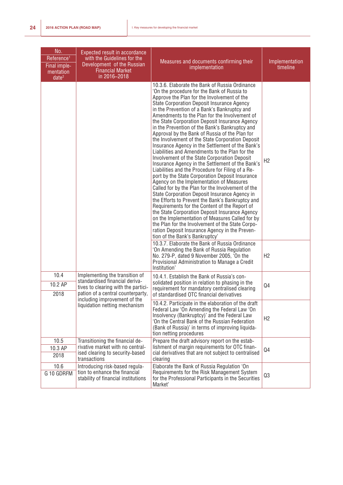| No.<br>Reference <sup>1</sup><br>Final imple-<br>mentation<br>date <sup>2</sup> | Expected result in accordance<br>with the Guidelines for the<br>Development of the Russian<br><b>Financial Market</b><br>in 2016-2018        | Measures and documents confirming their<br>implementation                                                                                                                                                                                                                                                                                                                                                                                                                                                                                                                                                                                                                                                                                                                                                                                                                                                                                                                                                                                                                                                                                                                                                                                                                                                                   | Implementation<br>timeline |
|---------------------------------------------------------------------------------|----------------------------------------------------------------------------------------------------------------------------------------------|-----------------------------------------------------------------------------------------------------------------------------------------------------------------------------------------------------------------------------------------------------------------------------------------------------------------------------------------------------------------------------------------------------------------------------------------------------------------------------------------------------------------------------------------------------------------------------------------------------------------------------------------------------------------------------------------------------------------------------------------------------------------------------------------------------------------------------------------------------------------------------------------------------------------------------------------------------------------------------------------------------------------------------------------------------------------------------------------------------------------------------------------------------------------------------------------------------------------------------------------------------------------------------------------------------------------------------|----------------------------|
|                                                                                 |                                                                                                                                              | 10.3.6. Elaborate the Bank of Russia Ordinance<br>'On the procedure for the Bank of Russia to<br>Approve the Plan for the Involvement of the<br>State Corporation Deposit Insurance Agency<br>in the Prevention of a Bank's Bankruptcy and<br>Amendments to the Plan for the Involvement of<br>the State Corporation Deposit Insurance Agency<br>in the Prevention of the Bank's Bankruptcy and<br>Approval by the Bank of Russia of the Plan for<br>the Involvement of the State Corporation Deposit<br>Insurance Agency in the Settlement of the Bank's<br>Liabilities and Amendments to the Plan for the<br>Involvement of the State Corporation Deposit<br>Insurance Agency in the Settlement of the Bank's<br>Liabilities and the Procedure for Filing of a Re-<br>port by the State Corporation Deposit Insurance<br>Agency on the Implementation of Measures<br>Called for by the Plan for the Involvement of the<br>State Corporation Deposit Insurance Agency in<br>the Efforts to Prevent the Bank's Bankruptcy and<br>Requirements for the Content of the Report of<br>the State Corporation Deposit Insurance Agency<br>on the Implementation of Measures Called for by<br>the Plan for the Involvement of the State Corpo-<br>ration Deposit Insurance Agency in the Preven-<br>tion of the Bank's Bankruptcy' | H <sub>2</sub>             |
|                                                                                 |                                                                                                                                              | 10.3.7. Elaborate the Bank of Russia Ordinance<br>'On Amending the Bank of Russia Regulation<br>No. 279-P, dated 9 November 2005, 'On the<br>Provisional Administration to Manage a Credit<br>Institution'                                                                                                                                                                                                                                                                                                                                                                                                                                                                                                                                                                                                                                                                                                                                                                                                                                                                                                                                                                                                                                                                                                                  | H <sub>2</sub>             |
| 10.4<br>10.2 AP<br>2018                                                         | Implementing the transition of<br>standardised financial deriva-<br>tives to clearing with the partici-<br>pation of a central counterparty, | 10.4.1. Establish the Bank of Russia's con-<br>solidated position in relation to phasing in the<br>requirement for mandatory centralised clearing<br>of standardised OTC financial derivatives                                                                                                                                                                                                                                                                                                                                                                                                                                                                                                                                                                                                                                                                                                                                                                                                                                                                                                                                                                                                                                                                                                                              | Q4                         |
|                                                                                 | including improvement of the<br>liquidation netting mechanism                                                                                | 10.4.2. Participate in the elaboration of the draft<br>Federal Law 'On Amending the Federal Law 'On<br>Insolvency (Bankruptcy)' and the Federal Law<br>'On the Central Bank of the Russian Federation<br>(Bank of Russia)' in terms of improving liquida-<br>tion netting procedures                                                                                                                                                                                                                                                                                                                                                                                                                                                                                                                                                                                                                                                                                                                                                                                                                                                                                                                                                                                                                                        | H <sub>2</sub>             |
| 10.5<br>10.3 AP<br>2018                                                         | Transitioning the financial de-<br>rivative market with no central-<br>ised clearing to security-based<br>transactions                       | Prepare the draft advisory report on the estab-<br>lishment of margin requirements for OTC finan-<br>cial derivatives that are not subject to centralised<br>clearing                                                                                                                                                                                                                                                                                                                                                                                                                                                                                                                                                                                                                                                                                                                                                                                                                                                                                                                                                                                                                                                                                                                                                       | Q4                         |
| 10.6<br>G 10 GDRFM                                                              | Introducing risk-based regula-<br>tion to enhance the financial<br>stability of financial institutions                                       | Elaborate the Bank of Russia Regulation 'On<br>Requirements for the Risk Management System<br>for the Professional Participants in the Securities<br>Market'                                                                                                                                                                                                                                                                                                                                                                                                                                                                                                                                                                                                                                                                                                                                                                                                                                                                                                                                                                                                                                                                                                                                                                | Q3                         |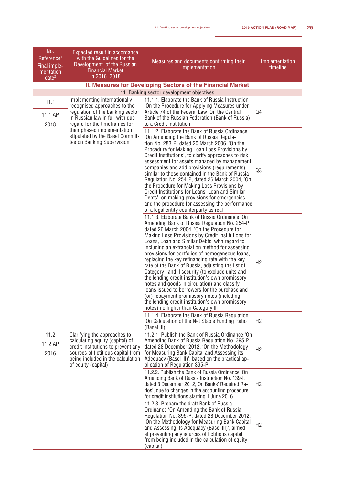| No.<br>Reference <sup>1</sup>                  | Expected result in accordance<br>with the Guidelines for the                                                                                                                                            | Measures and documents confirming their                                                                                                                                                                                                                                                                                                                                                                                                                                                                                                                                                                                                                                                                                                                                                                                                                              | Implementation |
|------------------------------------------------|---------------------------------------------------------------------------------------------------------------------------------------------------------------------------------------------------------|----------------------------------------------------------------------------------------------------------------------------------------------------------------------------------------------------------------------------------------------------------------------------------------------------------------------------------------------------------------------------------------------------------------------------------------------------------------------------------------------------------------------------------------------------------------------------------------------------------------------------------------------------------------------------------------------------------------------------------------------------------------------------------------------------------------------------------------------------------------------|----------------|
| Final imple-<br>mentation<br>date <sup>2</sup> | Development of the Russian<br><b>Financial Market</b><br>in 2016-2018                                                                                                                                   | implementation                                                                                                                                                                                                                                                                                                                                                                                                                                                                                                                                                                                                                                                                                                                                                                                                                                                       | timeline       |
|                                                |                                                                                                                                                                                                         | II. Measures for Developing Sectors of the Financial Market                                                                                                                                                                                                                                                                                                                                                                                                                                                                                                                                                                                                                                                                                                                                                                                                          |                |
|                                                |                                                                                                                                                                                                         | 11. Banking sector development objectives                                                                                                                                                                                                                                                                                                                                                                                                                                                                                                                                                                                                                                                                                                                                                                                                                            |                |
| 11.1<br>11.1 AP                                | Implementing internationally<br>recognised approaches to the<br>regulation of the banking sector<br>in Russian law in full with due                                                                     | 11.1.1. Elaborate the Bank of Russia Instruction<br>'On the Procedure for Applying Measures under<br>Article 74 of the Federal Law 'On the Central<br>Bank of the Russian Federation (Bank of Russia)                                                                                                                                                                                                                                                                                                                                                                                                                                                                                                                                                                                                                                                                | Q4             |
| 2018                                           | regard for the timeframes for                                                                                                                                                                           | to a Credit Institution'                                                                                                                                                                                                                                                                                                                                                                                                                                                                                                                                                                                                                                                                                                                                                                                                                                             |                |
|                                                | their phased implementation<br>stipulated by the Basel Commit-<br>tee on Banking Supervision                                                                                                            | 11.1.2. Elaborate the Bank of Russia Ordinance<br>'On Amending the Bank of Russia Regula-<br>tion No. 283-P, dated 20 March 2006, 'On the<br>Procedure for Making Loan Loss Provisions by<br>Credit Institutions', to clarify approaches to risk<br>assessment for assets managed by management<br>companies and add provisions (requirements)<br>similar to those contained in the Bank of Russia<br>Regulation No. 254-P, dated 26 March 2004, 'On<br>the Procedure for Making Loss Provisions by<br>Credit Institutions for Loans, Loan and Similar<br>Debts', on making provisions for emergencies<br>and the procedure for assessing the performance<br>of a legal entity counterparty as real                                                                                                                                                                  | Q3             |
|                                                |                                                                                                                                                                                                         | 11.1.3. Elaborate Bank of Russia Ordinance 'On<br>Amending Bank of Russia Regulation No. 254-P,<br>dated 26 March 2004, 'On the Procedure for<br>Making Loss Provisions by Credit Institutions for<br>Loans, Loan and Similar Debts' with regard to<br>including an extrapolation method for assessing<br>provisions for portfolios of homogeneous loans,<br>replacing the key refinancing rate with the key<br>rate of the Bank of Russia, adjusting the list of<br>Category I and II security (to exclude units and<br>the lending credit institution's own promissory<br>notes and goods in circulation) and classify<br>loans issued to borrowers for the purchase and<br>(or) repayment promissory notes (including<br>the lending credit institution's own promissory<br>notes) no higher than Category III<br>11.1.4. Elaborate the Bank of Russia Regulation | H2             |
|                                                |                                                                                                                                                                                                         | 'On Calculation of the Net Stable Funding Ratio<br>(Basel III)'                                                                                                                                                                                                                                                                                                                                                                                                                                                                                                                                                                                                                                                                                                                                                                                                      | H <sub>2</sub> |
| 11.2<br>11.2 AP<br>2016                        | Clarifying the approaches to<br>calculating equity (capital) of<br>credit institutions to prevent any<br>sources of fictitious capital from<br>being included in the calculation<br>of equity (capital) | 11.2.1. Publish the Bank of Russia Ordinance 'On<br>Amending Bank of Russia Regulation No. 395-P,<br>dated 28 December 2012, 'On the Methodology<br>for Measuring Bank Capital and Assessing its<br>Adequacy (Basel III)', based on the practical ap-<br>plication of Regulation 395-P                                                                                                                                                                                                                                                                                                                                                                                                                                                                                                                                                                               | H <sub>2</sub> |
|                                                |                                                                                                                                                                                                         | 11.2.2. Publish the Bank of Russia Ordinance 'On<br>Amending Bank of Russia Instruction No. 139-I.<br>dated 3 December 2012, On Banks' Required Ra-<br>tios', due to changes in the accounting procedure<br>for credit institutions starting 1 June 2016                                                                                                                                                                                                                                                                                                                                                                                                                                                                                                                                                                                                             | H <sub>2</sub> |
|                                                |                                                                                                                                                                                                         | 11.2.3. Prepare the draft Bank of Russia<br>Ordinance 'On Amending the Bank of Russia<br>Regulation No. 395-P, dated 28 December 2012,<br>'On the Methodology for Measuring Bank Capital<br>and Assessing its Adequacy (Basel III)', aimed<br>at preventing any sources of fictitious capital<br>from being included in the calculation of equity<br>(capital)                                                                                                                                                                                                                                                                                                                                                                                                                                                                                                       | H <sub>2</sub> |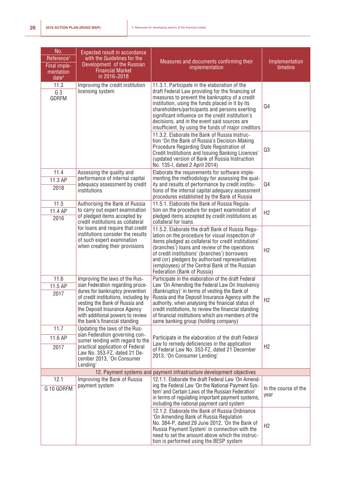| No.<br>Reference <sup>1</sup><br>Final imple-<br>mentation<br>$\overline{date^2}$ | <b>Expected result in accordance</b><br>with the Guidelines for the<br>Development of the Russian<br><b>Financial Market</b><br>in 2016-2018                                                                                                                                         | Measures and documents confirming their<br>implementation                                                                                                                                                                                                                                                                                                                                                              | Implementation<br>timeline   |
|-----------------------------------------------------------------------------------|--------------------------------------------------------------------------------------------------------------------------------------------------------------------------------------------------------------------------------------------------------------------------------------|------------------------------------------------------------------------------------------------------------------------------------------------------------------------------------------------------------------------------------------------------------------------------------------------------------------------------------------------------------------------------------------------------------------------|------------------------------|
| 11.3<br>G 3<br><b>GDRFM</b>                                                       | Improving the credit institution<br>licensing system                                                                                                                                                                                                                                 | 11.3.1. Participate in the elaboration of the<br>draft Federal Law providing for the financing of<br>measures to prevent the bankruptcy of a credit<br>institution, using the funds placed in it by its<br>shareholders/participants and persons exerting<br>significant influence on the credit institution's<br>decisions, and in the event said sources are<br>insufficient, by using the funds of major creditors  | Q4                           |
|                                                                                   |                                                                                                                                                                                                                                                                                      | 11.3.2. Elaborate the Bank of Russia Instruc-<br>tion 'On the Bank of Russia's Decision-Making<br>Procedure Regarding State Registration of<br>Credit Institutions and Issuing Banking Licences'<br>(updated version of Bank of Russia Instruction<br>No. 135-I, dated 2 April 2014)                                                                                                                                   | Q3                           |
| 11.4<br>11.3 AP<br>2018                                                           | Assessing the quality and<br>performance of internal capital<br>adequacy assessment by credit<br>institutions                                                                                                                                                                        | Elaborate the requirements for software imple-<br>menting the methodology for assessing the qual-<br>ity and results of performance by credit institu-<br>tions of the internal capital adequacy assessment<br>procedures established by the Bank of Russia                                                                                                                                                            | Q4                           |
| 11.5<br>11.4 AP<br>2016                                                           | Authorising the Bank of Russia<br>to carry out expert examination<br>of pledged items accepted by<br>credit institutions as collateral                                                                                                                                               | 11.5.1. Elaborate the Bank of Russia Regula-<br>tion on the procedure for expert examination of<br>pledged items accepted by credit institutions as<br>collateral for loans                                                                                                                                                                                                                                            | H <sub>2</sub>               |
|                                                                                   | for loans and require that credit<br>institutions consider the results<br>of such expert examination<br>when creating their provisions                                                                                                                                               | 11.5.2. Elaborate the draft Bank of Russia Regu-<br>lation on the procedure for visual inspection of<br>items pledged as collateral for credit institutions'<br>(branches') loans and review of the operations<br>of credit institutions' (branches') borrowers<br>and (or) pledgers by authorised representatives<br>(employees) of the Central Bank of the Russian<br>Federation (Bank of Russia)                    | H2                           |
| 11.6<br>11.5 AP<br>2017                                                           | Improving the laws of the Rus-<br>sian Federation regarding proce-<br>dures for bankruptcy prevention<br>of credit institutions, including by<br>vesting the Bank of Russia and<br>the Deposit Insurance Agency<br>with additional powers to review<br>the bank's financial standing | Participate in the elaboration of the draft Federal<br>Law 'On Amending the Federal Law On Insolvency<br>(Bankruptcy)' in terms of vesting the Bank of<br>Russia and the Deposit Insurance Agency with the<br>authority, when analysing the financial status of<br>credit institutions, to review the financial standing<br>of financial institutions which are members of the<br>same banking group (holding company) | H <sub>2</sub>               |
| 11.7<br>11.6 AP<br>2017                                                           | Updating the laws of the Rus-<br>sian Federation governing con-<br>sumer lending with regard to the<br>practical application of Federal<br>Law No. 353-FZ, dated 21 De-<br>cember 2013, 'On Consumer<br>Lending'                                                                     | Participate in the elaboration of the draft Federal<br>Law to remedy deficiencies in the application<br>of Federal Law No. 353-FZ, dated 21 December<br>2013, 'On Consumer Lending'                                                                                                                                                                                                                                    | H <sub>2</sub>               |
|                                                                                   |                                                                                                                                                                                                                                                                                      | 12. Payment systems and payment infrastructure development objectives                                                                                                                                                                                                                                                                                                                                                  |                              |
| 12.1<br>G 10 GDRFM                                                                | Improving the Bank of Russia<br>payment system                                                                                                                                                                                                                                       | 12.1.1. Elaborate the draft Federal Law 'On Amend-<br>ing the Federal Law 'On the National Payment Sys-<br>tem' and Certain Laws of the Russian Federation'<br>in terms of regulating important payment systems,<br>including the national payment card system                                                                                                                                                         | In the course of the<br>year |
|                                                                                   |                                                                                                                                                                                                                                                                                      | 12.1.2. Elaborate the Bank of Russia Ordinance<br>'On Amending Bank of Russia Regulation<br>No. 384-P, dated 29 June 2012, 'On the Bank of<br>Russia Payment System' in connection with the<br>need to set the amount above which the instruc-<br>tion is performed using the BESP system                                                                                                                              | H <sub>2</sub>               |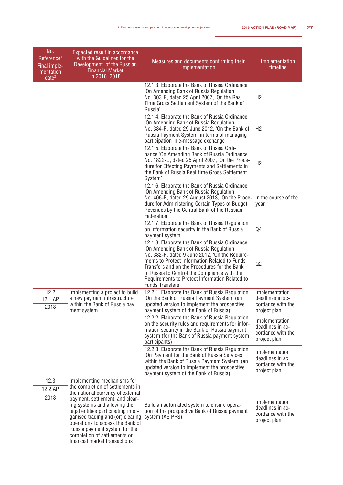| No.<br>Reference <sup>1</sup><br>Final imple-<br>mentation<br>date <sup>2</sup> | Expected result in accordance<br>with the Guidelines for the<br>Development of the Russian<br><b>Financial Market</b><br>in 2016-2018                                                                                                                                             | Measures and documents confirming their<br>implementation                                                                                                                                                                                                                                                                                                                | Implementation<br>timeline                                              |
|---------------------------------------------------------------------------------|-----------------------------------------------------------------------------------------------------------------------------------------------------------------------------------------------------------------------------------------------------------------------------------|--------------------------------------------------------------------------------------------------------------------------------------------------------------------------------------------------------------------------------------------------------------------------------------------------------------------------------------------------------------------------|-------------------------------------------------------------------------|
|                                                                                 |                                                                                                                                                                                                                                                                                   | 12.1.3. Elaborate the Bank of Russia Ordinance<br>'On Amending Bank of Russia Regulation<br>No. 303-P, dated 25 April 2007, 'On the Real-<br>Time Gross Settlement System of the Bank of<br>Russia'                                                                                                                                                                      | H2                                                                      |
|                                                                                 |                                                                                                                                                                                                                                                                                   | 12.1.4. Elaborate the Bank of Russia Ordinance<br>'On Amending Bank of Russia Regulation<br>No. 384-P, dated 29 June 2012, 'On the Bank of<br>Russia Payment System' in terms of managing<br>participation in e-message exchange                                                                                                                                         | H <sub>2</sub>                                                          |
|                                                                                 |                                                                                                                                                                                                                                                                                   | 12.1.5. Elaborate the Bank of Russia Ordi-<br>nance 'On Amending Bank of Russia Ordinance<br>No. 1822-U, dated 25 April 2007, 'On the Proce-<br>dure for Effecting Payments and Settlements in<br>the Bank of Russia Real-time Gross Settlement<br>System'                                                                                                               | H2                                                                      |
|                                                                                 |                                                                                                                                                                                                                                                                                   | 12.1.6. Elaborate the Bank of Russia Ordinance<br>'On Amending Bank of Russia Regulation<br>No. 406-P, dated 29 August 2013, 'On the Proce-<br>dure for Administering Certain Types of Budget<br>Revenues by the Central Bank of the Russian<br>Federation'                                                                                                              | In the course of the<br>year                                            |
|                                                                                 |                                                                                                                                                                                                                                                                                   | 12.1.7. Elaborate the Bank of Russia Regulation<br>on information security in the Bank of Russia<br>payment system                                                                                                                                                                                                                                                       | Q4                                                                      |
|                                                                                 |                                                                                                                                                                                                                                                                                   | 12.1.8. Elaborate the Bank of Russia Ordinance<br>'On Amending Bank of Russia Regulation<br>No. 382-P, dated 9 June 2012, 'On the Require-<br>ments to Protect Information Related to Funds<br>Transfers and on the Procedures for the Bank<br>of Russia to Control the Compliance with the<br>Requirements to Protect Information Related to<br><b>Funds Transfers'</b> | Q2                                                                      |
| 12.2                                                                            | Implementing a project to build                                                                                                                                                                                                                                                   | 12.2.1. Elaborate the Bank of Russia Regulation                                                                                                                                                                                                                                                                                                                          | Implementation                                                          |
| 12.1 AP<br>2018                                                                 | a new payment infrastructure<br>within the Bank of Russia pay-<br>ment system                                                                                                                                                                                                     | 'On the Bank of Russia Payment System' (an<br>updated version to implement the prospective<br>payment system of the Bank of Russia)                                                                                                                                                                                                                                      | deadlines in ac-<br>cordance with the<br>project plan                   |
|                                                                                 |                                                                                                                                                                                                                                                                                   | 12.2.2. Elaborate the Bank of Russia Regulation<br>on the security rules and requirements for infor-<br>mation security in the Bank of Russia payment<br>system (for the Bank of Russia payment system<br>participants)                                                                                                                                                  | Implementation<br>deadlines in ac-<br>cordance with the<br>project plan |
|                                                                                 |                                                                                                                                                                                                                                                                                   | 12.2.3. Elaborate the Bank of Russia Regulation<br>'On Payment for the Bank of Russia Services<br>within the Bank of Russia Payment System' (an<br>updated version to implement the prospective<br>payment system of the Bank of Russia)                                                                                                                                 | Implementation<br>deadlines in ac-<br>cordance with the<br>project plan |
| 12.3<br>12.2 AP                                                                 | Implementing mechanisms for<br>the completion of settlements in<br>the national currency of external                                                                                                                                                                              |                                                                                                                                                                                                                                                                                                                                                                          |                                                                         |
| 2018                                                                            | payment, settlement, and clear-<br>ing systems and allowing the<br>legal entities participating in or-<br>ganised trading and (or) clearing<br>operations to access the Bank of<br>Russia payment system for the<br>completion of settlements on<br>financial market transactions | Build an automated system to ensure opera-<br>tion of the prospective Bank of Russia payment<br>system (AS PPS)                                                                                                                                                                                                                                                          | Implementation<br>deadlines in ac-<br>cordance with the<br>project plan |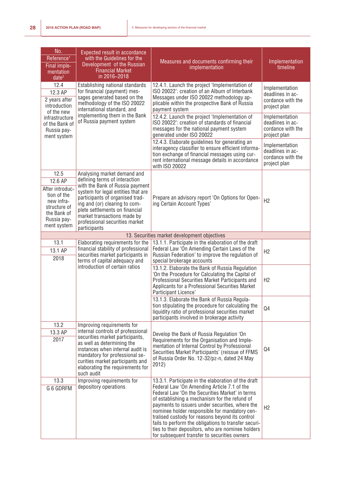| No.<br>Reference <sup>1</sup><br>Final imple-<br>mentation<br>date <sup>2</sup>                                              | <b>Expected result in accordance</b><br>with the Guidelines for the<br>Development of the Russian<br><b>Financial Market</b><br>in 2016-2018                                                                                                                                                                                 | Measures and documents confirming their<br>implementation                                                                                                                                                                                                                                                                                                                                                                                                           | Implementation<br>timeline                                              |
|------------------------------------------------------------------------------------------------------------------------------|------------------------------------------------------------------------------------------------------------------------------------------------------------------------------------------------------------------------------------------------------------------------------------------------------------------------------|---------------------------------------------------------------------------------------------------------------------------------------------------------------------------------------------------------------------------------------------------------------------------------------------------------------------------------------------------------------------------------------------------------------------------------------------------------------------|-------------------------------------------------------------------------|
| 12.4<br>12.3 AP<br>2 years after<br>introduction<br>of the new                                                               | Establishing national standards<br>for financial (payment) mes-<br>sages generated based on the<br>methodology of the ISO 20022<br>international standard, and                                                                                                                                                               | 12.4.1. Launch the project 'Implementation of<br>ISO 20022': creation of an Album of Interbank<br>Messages under ISO 20022 methodology ap-<br>plicable within the prospective Bank of Russia<br>payment system                                                                                                                                                                                                                                                      | Implementation<br>deadlines in ac-<br>cordance with the<br>project plan |
| infrastructure<br>of the Bank of<br>Russia pay-<br>ment system                                                               | implementing them in the Bank<br>of Russia payment system                                                                                                                                                                                                                                                                    | 12.4.2. Launch the project 'Implementation of<br>ISO 20022': creation of standards of financial<br>messages for the national payment system<br>generated under ISO 20022                                                                                                                                                                                                                                                                                            | Implementation<br>deadlines in ac-<br>cordance with the<br>project plan |
|                                                                                                                              |                                                                                                                                                                                                                                                                                                                              | 12.4.3. Elaborate guidelines for generating an<br>interagency classifier to ensure efficient informa-<br>tion exchange of financial messages using cur-<br>rent international message details in accordance<br>with ISO 20022                                                                                                                                                                                                                                       | Implementation<br>deadlines in ac-<br>cordance with the<br>project plan |
| 12.5<br>12.6 AP<br>After introduc-<br>tion of the<br>new infra-<br>structure of<br>the Bank of<br>Russia pay-<br>ment system | Analysing market demand and<br>defining terms of interaction<br>with the Bank of Russia payment<br>system for legal entities that are<br>participants of organised trad-<br>ing and (or) clearing to com-<br>plete settlements on financial<br>market transactions made by<br>professional securities market<br>participants | Prepare an advisory report 'On Options for Open-<br>ing Certain Account Types'                                                                                                                                                                                                                                                                                                                                                                                      | H <sub>2</sub>                                                          |
|                                                                                                                              |                                                                                                                                                                                                                                                                                                                              | 13. Securities market development objectives                                                                                                                                                                                                                                                                                                                                                                                                                        |                                                                         |
| 13.1<br>13.1 AP<br>2018                                                                                                      | Elaborating requirements for the<br>financial stability of professional<br>securities market participants in<br>terms of capital adequacy and                                                                                                                                                                                | 13.1.1. Participate in the elaboration of the draft<br>Federal Law 'On Amending Certain Laws of the<br>Russian Federation' to improve the regulation of<br>special brokerage accounts                                                                                                                                                                                                                                                                               | H <sub>2</sub>                                                          |
|                                                                                                                              | introduction of certain ratios                                                                                                                                                                                                                                                                                               | 13.1.2. Elaborate the Bank of Russia Regulation<br>'On the Procedure for Calculating the Capital of<br>Professional Securities Market Participants and<br>Applicants for a Professional Securities Market<br>Participant Licence'                                                                                                                                                                                                                                   | H2                                                                      |
|                                                                                                                              |                                                                                                                                                                                                                                                                                                                              | 13.1.3. Elaborate the Bank of Russia Regula-<br>tion stipulating the procedure for calculating the<br>liquidity ratio of professional securities market<br>participants involved in brokerage activity                                                                                                                                                                                                                                                              | Q4                                                                      |
| 13.2                                                                                                                         | Improving requirements for                                                                                                                                                                                                                                                                                                   |                                                                                                                                                                                                                                                                                                                                                                                                                                                                     |                                                                         |
| 13.3 AP<br>2017                                                                                                              | internal controls of professional<br>securities market participants,<br>as well as determining the<br>instances when internal audit is<br>mandatory for professional se-<br>curities market participants and<br>elaborating the requirements for<br>such audit                                                               | Develop the Bank of Russia Regulation 'On<br>Requirements for the Organisation and Imple-<br>mentation of Internal Control by Professional<br>Securities Market Participants' (reissue of FFMS<br>of Russia Order No. 12-32/pz-n, dated 24 May<br>2012)                                                                                                                                                                                                             | Q4                                                                      |
| 13.3                                                                                                                         | Improving requirements for                                                                                                                                                                                                                                                                                                   | 13.3.1. Participate in the elaboration of the draft                                                                                                                                                                                                                                                                                                                                                                                                                 |                                                                         |
| G 6 GDRFM                                                                                                                    | depository operations                                                                                                                                                                                                                                                                                                        | Federal Law 'On Amending Article 7.1 of the<br>Federal Law 'On the Securities Market' in terms<br>of establishing a mechanism for the refund of<br>payments to issuers under securities, where the<br>nominee holder responsible for mandatory cen-<br>tralised custody for reasons beyond its control<br>fails to perform the obligations to transfer securi-<br>ties to their depositors, who are nominee holders<br>for subsequent transfer to securities owners | H <sub>2</sub>                                                          |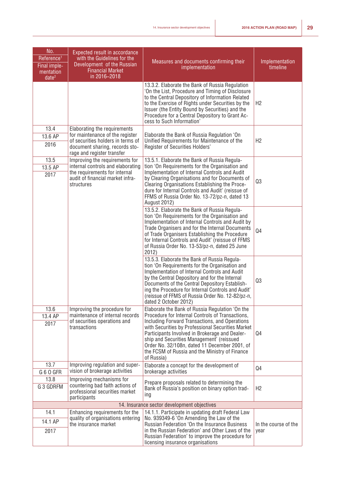| No.<br>Reference <sup>1</sup><br>Final imple-<br>mentation<br>date <sup>2</sup> | Expected result in accordance<br>with the Guidelines for the<br>Development of the Russian<br><b>Financial Market</b><br>in 2016-2018                  | Measures and documents confirming their<br>implementation                                                                                                                                                                                                                                                                                                                              | Implementation<br>timeline   |
|---------------------------------------------------------------------------------|--------------------------------------------------------------------------------------------------------------------------------------------------------|----------------------------------------------------------------------------------------------------------------------------------------------------------------------------------------------------------------------------------------------------------------------------------------------------------------------------------------------------------------------------------------|------------------------------|
|                                                                                 |                                                                                                                                                        | 13.3.2. Elaborate the Bank of Russia Regulation<br>'On the List, Procedure and Timing of Disclosure<br>to the Central Depository of Information Related<br>to the Exercise of Rights under Securities by the<br>Issuer (the Entity Bound by Securities) and the<br>Procedure for a Central Depository to Grant Ac-<br>cess to Such Information'                                        | H2                           |
| 13.4                                                                            | Elaborating the requirements                                                                                                                           |                                                                                                                                                                                                                                                                                                                                                                                        |                              |
| 13.6 AP<br>2016                                                                 | for maintenance of the register<br>of securities holders in terms of                                                                                   | Elaborate the Bank of Russia Regulation 'On<br>Unified Requirements for Maintenance of the                                                                                                                                                                                                                                                                                             | H <sub>2</sub>               |
|                                                                                 | document sharing, records sto-<br>rage and register transfer                                                                                           | Register of Securities Holders'                                                                                                                                                                                                                                                                                                                                                        |                              |
| 13.5<br>13.5 AP<br>2017                                                         | Improving the requirements for<br>internal controls and elaborating<br>the requirements for internal<br>audit of financial market infra-<br>structures | 13.5.1. Elaborate the Bank of Russia Regula-<br>tion 'On Requirements for the Organisation and<br>Implementation of Internal Controls and Audit<br>by Clearing Organisations and for Documents of<br>Clearing Organisations Establishing the Proce-<br>dure for Internal Controls and Audit' (reissue of<br>FFMS of Russia Order No. 13-72/pz-n, dated 13<br>August 2012)              | Q3                           |
|                                                                                 |                                                                                                                                                        | 13.5.2. Elaborate the Bank of Russia Regula-<br>tion 'On Requirements for the Organisation and<br>Implementation of Internal Controls and Audit by<br>Trade Organisers and for the Internal Documents<br>of Trade Organisers Establishing the Procedure<br>for Internal Controls and Audit' (reissue of FFMS<br>of Russia Order No. 13-53/pz-n, dated 25 June<br>2012)                 | Q <sub>4</sub>               |
|                                                                                 |                                                                                                                                                        | 13.5.3. Elaborate the Bank of Russia Regula-<br>tion 'On Requirements for the Organisation and<br>Implementation of Internal Controls and Audit<br>by the Central Depository and for the Internal<br>Documents of the Central Depository Establish-<br>ing the Procedure for Internal Controls and Audit'<br>(reissue of FFMS of Russia Order No. 12-82/pz-n,<br>dated 2 October 2012) | Q3                           |
| 13.6                                                                            | Improving the procedure for                                                                                                                            | Elaborate the Bank of Russia Regulation 'On the                                                                                                                                                                                                                                                                                                                                        |                              |
| 13.4 AP<br>2017                                                                 | maintenance of internal records<br>of securities operations and<br>transactions                                                                        | Procedure for Internal Controls of Transactions,<br>Including Forward Transactions, and Operations<br>with Securities by Professional Securities Market<br>Participants Involved in Brokerage and Dealer-<br>ship and Securities Management' (reissued<br>Order No. 32/108n, dated 11 December 2001, of<br>the FCSM of Russia and the Ministry of Finance<br>of Russia)                | Q4                           |
| 13.7                                                                            | Improving regulation and super-<br>vision of brokerage activities                                                                                      | Elaborate a concept for the development of<br>brokerage activities                                                                                                                                                                                                                                                                                                                     | Q4                           |
| G 6 0 GFR<br>13.8                                                               | Improving mechanisms for                                                                                                                               |                                                                                                                                                                                                                                                                                                                                                                                        |                              |
| G 3 GDRFM                                                                       | countering bad faith actions of<br>professional securities market<br>participants                                                                      | Prepare proposals related to determining the<br>Bank of Russia's position on binary option trad-<br>ing                                                                                                                                                                                                                                                                                | H2                           |
|                                                                                 |                                                                                                                                                        | 14. Insurance sector development objectives                                                                                                                                                                                                                                                                                                                                            |                              |
| 14.1                                                                            | Enhancing requirements for the<br>quality of organisations entering                                                                                    | 14.1.1. Participate in updating draft Federal Law<br>No. 939349-6 'On Amending the Law of the                                                                                                                                                                                                                                                                                          |                              |
| 14.1 AP<br>2017                                                                 | the insurance market                                                                                                                                   | <b>Russian Federation 'On the Insurance Business</b><br>in the Russian Federation' and Other Laws of the<br>Russian Federation' to improve the procedure for<br>licensing insurance organisations                                                                                                                                                                                      | In the course of the<br>year |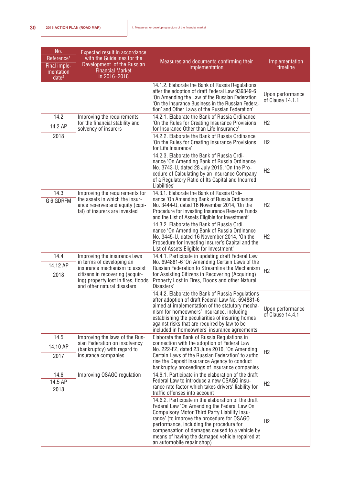| No.<br>Reference <sup>1</sup><br>Final imple-<br>mentation<br>date <sup>2</sup> | <b>Expected result in accordance</b><br>with the Guidelines for the<br>Development of the Russian<br><b>Financial Market</b><br>in 2016-2018                        | Measures and documents confirming their<br>implementation                                                                                                                                                                                                                                                                                                                       | Implementation<br>timeline           |
|---------------------------------------------------------------------------------|---------------------------------------------------------------------------------------------------------------------------------------------------------------------|---------------------------------------------------------------------------------------------------------------------------------------------------------------------------------------------------------------------------------------------------------------------------------------------------------------------------------------------------------------------------------|--------------------------------------|
|                                                                                 |                                                                                                                                                                     | 14.1.2. Elaborate the Bank of Russia Regulations<br>after the adoption of draft Federal Law 939349-6<br>'On Amending the Law of the Russian Federation<br>'On the Insurance Business in the Russian Federa-<br>tion' and Other Laws of the Russian Federation'                                                                                                                  | Upon performance<br>of Clause 14.1.1 |
| 14.2<br>14.2 AP                                                                 | Improving the requirements<br>for the financial stability and<br>solvency of insurers                                                                               | 14.2.1. Elaborate the Bank of Russia Ordinance<br>'On the Rules for Creating Insurance Provisions<br>for Insurance Other than Life Insurance'                                                                                                                                                                                                                                   | H2                                   |
| 2018                                                                            |                                                                                                                                                                     | 14.2.2. Elaborate the Bank of Russia Ordinance<br>'On the Rules for Creating Insurance Provisions<br>for Life Insurance'                                                                                                                                                                                                                                                        | H2                                   |
|                                                                                 |                                                                                                                                                                     | 14.2.3. Elaborate the Bank of Russia Ordi-<br>nance 'On Amending Bank of Russia Ordinance<br>No. 3743-U, dated 28 July 2015, 'On the Pro-<br>cedure of Calculating by an Insurance Company<br>of a Regulatory Ratio of Its Capital and Incurred<br>Liabilities'                                                                                                                 | H2                                   |
| 14.3<br>G 6 GDRFM                                                               | Improving the requirements for<br>the assets in which the insur-<br>ance reserves and equity (capi-<br>tal) of insurers are invested                                | 14.3.1. Elaborate the Bank of Russia Ordi-<br>nance 'On Amending Bank of Russia Ordinance<br>No. 3444-U, dated 16 November 2014, 'On the<br>Procedure for Investing Insurance Reserve Funds<br>and the List of Assets Eligible for Investment'                                                                                                                                  | H2                                   |
|                                                                                 |                                                                                                                                                                     | 14.3.2. Elaborate the Bank of Russia Ordi-<br>nance 'On Amending Bank of Russia Ordinance<br>No. 3445-U, dated 16 November 2014, 'On the<br>Procedure for Investing Insurer's Capital and the<br>List of Assets Eligible for Investment'                                                                                                                                        | H2                                   |
| 14.4                                                                            | Improving the insurance laws                                                                                                                                        | 14.4.1. Participate in updating draft Federal Law                                                                                                                                                                                                                                                                                                                               |                                      |
| 14.12 AP<br>2018                                                                | in terms of developing an<br>insurance mechanism to assist<br>citizens in recovering (acquir-<br>ing) property lost in fires, floods<br>and other natural disasters | No. 694881-6 'On Amending Certain Laws of the<br>Russian Federation to Streamline the Mechanism<br>for Assisting Citizens in Recovering (Acquiring)<br>Property Lost in Fires, Floods and other Natural<br>Disasters'                                                                                                                                                           | H2                                   |
|                                                                                 |                                                                                                                                                                     | 14.4.2. Elaborate the Bank of Russia Regulations<br>after adoption of draft Federal Law No. 694881-6<br>aimed at implementation of the statutory mecha-<br>nism for homeowners' insurance, including<br>establishing the peculiarities of insuring homes<br>against risks that are required by law to be<br>included in homeowners' insurance agreements                        | Upon performance<br>of Clause 14.4.1 |
| 14.5                                                                            | Improving the laws of the Rus-<br>sian Federation on insolvency                                                                                                     | Elaborate the Bank of Russia Regulations in<br>connection with the adoption of Federal Law                                                                                                                                                                                                                                                                                      |                                      |
| 14.10 AP                                                                        | (bankruptcy) with regard to                                                                                                                                         | No. 222-FZ, dated 23 June 2016, 'On Amending                                                                                                                                                                                                                                                                                                                                    | H2                                   |
| 2017                                                                            | insurance companies                                                                                                                                                 | Certain Laws of the Russian Federation' to autho-<br>rise the Deposit Insurance Agency to conduct<br>bankruptcy proceedings of insurance companies                                                                                                                                                                                                                              |                                      |
| 14.6<br>14.5 AP<br>2018                                                         | Improving OSAGO regulation                                                                                                                                          | 14.6.1. Participate in the elaboration of the draft<br>Federal Law to introduce a new OSAGO insu-<br>rance rate factor which takes drivers' liability for<br>traffic offenses into account                                                                                                                                                                                      | H <sub>2</sub>                       |
|                                                                                 |                                                                                                                                                                     | 14.6.2. Participate in the elaboration of the draft<br>Federal Law 'On Amending the Federal Law On<br>Compulsory Motor Third Party Liability Insu-<br>rance' (to improve the procedure for OSAGO<br>performance, including the procedure for<br>compensation of damages caused to a vehicle by<br>means of having the damaged vehicle repaired at<br>an automobile repair shop) | H2                                   |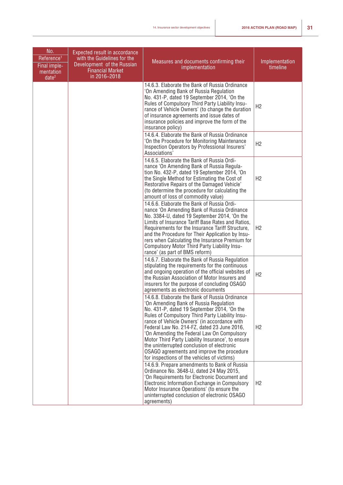| No.<br>Reference <sup>1</sup><br>Final imple-<br>mentation<br>date <sup>2</sup> | Expected result in accordance<br>with the Guidelines for the<br>Development of the Russian<br><b>Financial Market</b><br>in 2016-2018 | Measures and documents confirming their<br>implementation                                                                                                                                                                                                                                                                                                                                                                                                                                                                               | Implementation<br>timeline |
|---------------------------------------------------------------------------------|---------------------------------------------------------------------------------------------------------------------------------------|-----------------------------------------------------------------------------------------------------------------------------------------------------------------------------------------------------------------------------------------------------------------------------------------------------------------------------------------------------------------------------------------------------------------------------------------------------------------------------------------------------------------------------------------|----------------------------|
|                                                                                 |                                                                                                                                       | 14.6.3. Elaborate the Bank of Russia Ordinance<br>'On Amending Bank of Russia Regulation<br>No. 431-P, dated 19 September 2014, 'On the<br>Rules of Compulsory Third Party Liability Insu-<br>rance of Vehicle Owners' (to change the duration<br>of insurance agreements and issue dates of<br>insurance policies and improve the form of the<br>insurance policy)                                                                                                                                                                     | H2                         |
|                                                                                 |                                                                                                                                       | 14.6.4. Elaborate the Bank of Russia Ordinance<br>'On the Procedure for Monitoring Maintenance<br>Inspection Operators by Professional Insurers'<br>Associations'                                                                                                                                                                                                                                                                                                                                                                       | H2                         |
|                                                                                 |                                                                                                                                       | 14.6.5. Elaborate the Bank of Russia Ordi-<br>nance 'On Amending Bank of Russia Regula-<br>tion No. 432-P, dated 19 September 2014, 'On<br>the Single Method for Estimating the Cost of<br>Restorative Repairs of the Damaged Vehicle'<br>(to determine the procedure for calculating the<br>amount of loss of commodity value)                                                                                                                                                                                                         | H <sub>2</sub>             |
|                                                                                 |                                                                                                                                       | 14.6.6. Elaborate the Bank of Russia Ordi-<br>nance 'On Amending Bank of Russia Ordinance<br>No. 3384-U, dated 19 September 2014, 'On the<br>Limits of Insurance Tariff Base Rates and Ratios,<br>Requirements for the Insurance Tariff Structure,<br>and the Procedure for Their Application by Insu-<br>rers when Calculating the Insurance Premium for<br>Compulsory Motor Third Party Liability Insu-<br>rance' (as part of BMS reform)                                                                                             | H <sub>2</sub>             |
|                                                                                 |                                                                                                                                       | 14.6.7. Elaborate the Bank of Russia Regulation<br>stipulating the requirements for the continuous<br>and ongoing operation of the official websites of<br>the Russian Association of Motor Insurers and<br>insurers for the purpose of concluding OSAGO<br>agreements as electronic documents                                                                                                                                                                                                                                          | H2                         |
|                                                                                 |                                                                                                                                       | 14.6.8. Elaborate the Bank of Russia Ordinance<br>'On Amending Bank of Russia Regulation<br>No. 431-P, dated 19 September 2014, 'On the<br>Rules of Compulsory Third Party Liability Insu-<br>rance of Vehicle Owners' (in accordance with<br>Federal Law No. 214-FZ, dated 23 June 2016,<br>'On Amending the Federal Law On Compulsory<br>Motor Third Party Liability Insurance', to ensure<br>the uninterrupted conclusion of electronic<br>OSAGO agreements and improve the procedure<br>for inspections of the vehicles of victims) | H <sub>2</sub>             |
|                                                                                 |                                                                                                                                       | 14.6.9. Prepare amendments to Bank of Russia<br>Ordinance No. 3648-U, dated 24 May 2015,<br>'On Requirements for Electronic Document and<br>Electronic Information Exchange in Compulsory<br>Motor Insurance Operations' (to ensure the<br>uninterrupted conclusion of electronic OSAGO<br>agreements)                                                                                                                                                                                                                                  | H <sub>2</sub>             |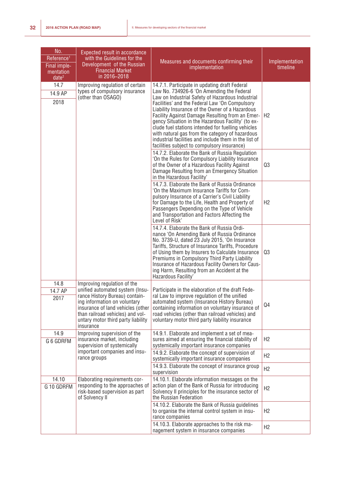| No.<br>Reference <sup>1</sup><br>Final imple-<br>mentation<br>date <sup>2</sup> | <b>Expected result in accordance</b><br>with the Guidelines for the<br>Development of the Russian<br><b>Financial Market</b><br>in 2016-2018                                                                                                                 | Measures and documents confirming their<br>implementation                                                                                                                                                                                                                                                                                                                                                                                                                                                                                                                     | Implementation<br>timeline |
|---------------------------------------------------------------------------------|--------------------------------------------------------------------------------------------------------------------------------------------------------------------------------------------------------------------------------------------------------------|-------------------------------------------------------------------------------------------------------------------------------------------------------------------------------------------------------------------------------------------------------------------------------------------------------------------------------------------------------------------------------------------------------------------------------------------------------------------------------------------------------------------------------------------------------------------------------|----------------------------|
| 14.7<br>14.9 AP<br>2018                                                         | Improving regulation of certain<br>types of compulsory insurance<br>(other than OSAGO)                                                                                                                                                                       | 14.7.1. Participate in updating draft Federal<br>Law No. 734926-6 'On Amending the Federal<br>Law on Industrial Safety of Hazardous Industrial<br>Facilities' and the Federal Law 'On Compulsory<br>Liability Insurance of the Owner of a Hazardous<br>Facility Against Damage Resulting from an Emer-<br>gency Situation in the Hazardous Facility' (to ex-<br>clude fuel stations intended for fuelling vehicles<br>with natural gas from the category of hazardous<br>industrial facilities and include them in the list of<br>facilities subject to compulsory insurance) | H <sub>2</sub>             |
|                                                                                 |                                                                                                                                                                                                                                                              | 14.7.2. Elaborate the Bank of Russia Regulation<br>'On the Rules for Compulsory Liability Insurance<br>of the Owner of a Hazardous Facility Against<br>Damage Resulting from an Emergency Situation<br>in the Hazardous Facility'                                                                                                                                                                                                                                                                                                                                             | Q3                         |
|                                                                                 |                                                                                                                                                                                                                                                              | 14.7.3. Elaborate the Bank of Russia Ordinance<br>'On the Maximum Insurance Tariffs for Com-<br>pulsory Insurance of a Carrier's Civil Liability<br>for Damage to the Life, Health and Property of<br>Passengers Depending on the Type of Vehicle<br>and Transportation and Factors Affecting the<br>Level of Risk'                                                                                                                                                                                                                                                           | H <sub>2</sub>             |
|                                                                                 |                                                                                                                                                                                                                                                              | 14.7.4. Elaborate the Bank of Russia Ordi-<br>nance 'On Amending Bank of Russia Ordinance<br>No. 3739-U, dated 23 July 2015, 'On Insurance<br>Tariffs, Structure of Insurance Tariffs, Procedure<br>of Using them by Insurers to Calculate Insurance<br>Premiums in Compulsory Third Party Liability<br>Insurance of Hazardous Facility Owners for Caus-<br>ing Harm, Resulting from an Accident at the<br>Hazardous Facility'                                                                                                                                                | Q3                         |
| 14.8<br>14.7 AP<br>2017                                                         | Improving regulation of the<br>unified automated system (Insu-<br>rance History Bureau) contain-<br>ing information on voluntary<br>insurance of land vehicles (other<br>than railroad vehicles) and vol-<br>untary motor third party liability<br>insurance | Participate in the elaboration of the draft Fede-<br>ral Law to improve regulation of the unified<br>automated system (Insurance History Bureau)<br>containing information on voluntary insurance of<br>road vehicles (other than railroad vehicles) and<br>voluntary motor third party liability insurance                                                                                                                                                                                                                                                                   | Q <sub>4</sub>             |
| 14.9<br>G 6 GDRFM                                                               | Improving supervision of the<br>insurance market, including<br>supervision of systemically                                                                                                                                                                   | 14.9.1. Elaborate and implement a set of mea-<br>sures aimed at ensuring the financial stability of<br>systemically important insurance companies                                                                                                                                                                                                                                                                                                                                                                                                                             | H2                         |
|                                                                                 | important companies and insu-<br>rance groups                                                                                                                                                                                                                | 14.9.2. Elaborate the concept of supervision of<br>systemically important insurance companies                                                                                                                                                                                                                                                                                                                                                                                                                                                                                 | H <sub>2</sub>             |
|                                                                                 |                                                                                                                                                                                                                                                              | 14.9.3. Elaborate the concept of insurance group<br>supervision                                                                                                                                                                                                                                                                                                                                                                                                                                                                                                               | H2                         |
| 14.10<br>G 10 GDRFM                                                             | Elaborating requirements cor-<br>responding to the approaches of<br>risk-based supervision as part<br>of Solvency II                                                                                                                                         | 14.10.1. Elaborate information messages on the<br>action plan of the Bank of Russia for introducing<br>Solvency II principles for the insurance sector of<br>the Russian Federation                                                                                                                                                                                                                                                                                                                                                                                           | H2                         |
|                                                                                 |                                                                                                                                                                                                                                                              | 14.10.2. Elaborate the Bank of Russia guidelines<br>to organise the internal control system in insu-<br>rance companies                                                                                                                                                                                                                                                                                                                                                                                                                                                       | H2                         |
|                                                                                 |                                                                                                                                                                                                                                                              | 14.10.3. Elaborate approaches to the risk ma-<br>nagement system in insurance companies                                                                                                                                                                                                                                                                                                                                                                                                                                                                                       | H <sub>2</sub>             |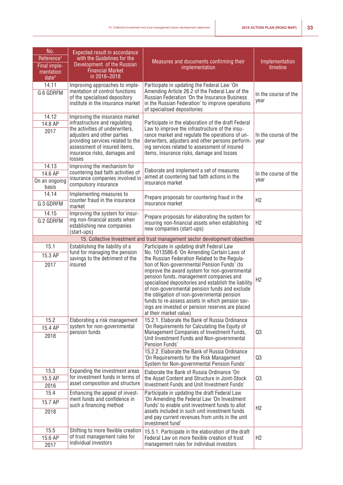| No.<br>Reference <sup>1</sup>                  | <b>Expected result in accordance</b><br>with the Guidelines for the                                                                                                           |                                                                                                                                                                                                                                                                                                                                                                                                                                 |                              |
|------------------------------------------------|-------------------------------------------------------------------------------------------------------------------------------------------------------------------------------|---------------------------------------------------------------------------------------------------------------------------------------------------------------------------------------------------------------------------------------------------------------------------------------------------------------------------------------------------------------------------------------------------------------------------------|------------------------------|
| Final imple-<br>mentation<br>date <sup>2</sup> | Development of the Russian<br><b>Financial Market</b><br>in 2016-2018                                                                                                         | Measures and documents confirming their<br>implementation                                                                                                                                                                                                                                                                                                                                                                       | Implementation<br>timeline   |
| 14.11                                          | Improving approaches to imple-                                                                                                                                                | Participate in updating the Federal Law 'On                                                                                                                                                                                                                                                                                                                                                                                     |                              |
| G 6 GDRFM                                      | mentation of control functions<br>of the specialised depository<br>institute in the insurance market                                                                          | Amending Article 26.2 of the Federal Law of the<br>Russian Federation 'On the Insurance Business<br>in the Russian Federation' to improve operations<br>of specialised depositories                                                                                                                                                                                                                                             | In the course of the<br>year |
| 14.12                                          | Improving the insurance market                                                                                                                                                |                                                                                                                                                                                                                                                                                                                                                                                                                                 |                              |
| 14.8 AP                                        | infrastructure and regulating                                                                                                                                                 | Participate in the elaboration of the draft Federal                                                                                                                                                                                                                                                                                                                                                                             |                              |
| 2017                                           | the activities of underwriters,<br>adjusters and other parties<br>providing services related to the<br>assessment of insured items,<br>insurance risks, damages and<br>losses | Law to improve the infrastructure of the insu-<br>rance market and regulate the operations of un-<br>derwriters, adjusters and other persons perform-<br>ing services related to assessment of insured<br>items, insurance risks, damage and losses                                                                                                                                                                             | In the course of the<br>year |
| 14.13                                          | Improving the mechanism for                                                                                                                                                   |                                                                                                                                                                                                                                                                                                                                                                                                                                 |                              |
| 14.6 AP                                        | countering bad faith activities of                                                                                                                                            | Elaborate and implement a set of measures<br>aimed at countering bad faith actions in the                                                                                                                                                                                                                                                                                                                                       | In the course of the         |
| On an ongoing<br>basis                         | insurance companies involved in<br>compulsory insurance                                                                                                                       | insurance market                                                                                                                                                                                                                                                                                                                                                                                                                | year                         |
| 14.14                                          | Implementing measures to                                                                                                                                                      | Prepare proposals for countering fraud in the                                                                                                                                                                                                                                                                                                                                                                                   |                              |
| G 3 GDRFM                                      | counter fraud in the insurance<br>market                                                                                                                                      | insurance market                                                                                                                                                                                                                                                                                                                                                                                                                | H2                           |
| 14.15                                          | Improving the system for insur-                                                                                                                                               | Prepare proposals for elaborating the system for                                                                                                                                                                                                                                                                                                                                                                                |                              |
| G 2 GDRFM                                      | ing non-financial assets when<br>establishing new companies<br>(start-ups)                                                                                                    | insuring non-financial assets when establishing<br>new companies (start-ups)                                                                                                                                                                                                                                                                                                                                                    | H2                           |
|                                                |                                                                                                                                                                               | 15. Collective Investment and trust management sector development objectives                                                                                                                                                                                                                                                                                                                                                    |                              |
| 15.1                                           | Establishing the liability of a                                                                                                                                               | Participate in updating draft Federal Law                                                                                                                                                                                                                                                                                                                                                                                       |                              |
| 15.3 AP                                        | fund for managing the pension<br>savings to the detriment of the                                                                                                              | No. 1013586-6 'On Amending Certain Laws of<br>the Russian Federation Related to the Regula-                                                                                                                                                                                                                                                                                                                                     |                              |
| 2017                                           | insured                                                                                                                                                                       | tion of Non-governmental Pension Funds' (to<br>improve the award system for non-governmental<br>pension funds, management companies and<br>specialised depositories and establish the liability<br>of non-governmental pension funds and exclude<br>the obligation of non-governmental pension<br>funds to re-assess assets in which pension sav-<br>ings are invested or pension reserves are placed<br>at their market value) | H <sub>2</sub>               |
| 15.2                                           | Elaborating a risk management                                                                                                                                                 | 15.2.1. Elaborate the Bank of Russia Ordinance                                                                                                                                                                                                                                                                                                                                                                                  |                              |
| 15.4 AP<br>2018                                | system for non-governmental<br>pension funds                                                                                                                                  | 'On Requirements for Calculating the Equity of<br>Management Companies of Investment Funds,<br>Unit Investment Funds and Non-governmental<br>Pension Funds'                                                                                                                                                                                                                                                                     | Q3                           |
|                                                |                                                                                                                                                                               | 15.2.2. Elaborate the Bank of Russia Ordinance<br>'On Requirements for the Risk Management<br>System for Non-governmental Pension Funds'                                                                                                                                                                                                                                                                                        | Q3                           |
| 15.3                                           | Expanding the investment areas                                                                                                                                                | Elaborate the Bank of Russia Ordinance 'On                                                                                                                                                                                                                                                                                                                                                                                      |                              |
| 15.5 AP                                        | for investment funds in terms of<br>asset composition and structure                                                                                                           | the Asset Content and Structure in Joint-Stock                                                                                                                                                                                                                                                                                                                                                                                  | Q3                           |
| 2016                                           |                                                                                                                                                                               | Investment Funds and Unit Investment Funds'                                                                                                                                                                                                                                                                                                                                                                                     |                              |
| 15.4                                           | Enhancing the appeal of invest-<br>ment funds and confidence in                                                                                                               | Participate in updating the draft Federal Law<br>'On Amending the Federal Law 'On Investment                                                                                                                                                                                                                                                                                                                                    |                              |
| 15.7 AP                                        | such a financing method                                                                                                                                                       | Funds' to enable unit investment funds to allot                                                                                                                                                                                                                                                                                                                                                                                 |                              |
| 2018                                           |                                                                                                                                                                               | assets included in such unit investment funds                                                                                                                                                                                                                                                                                                                                                                                   | H2                           |
|                                                |                                                                                                                                                                               | and pay current revenues from units in the unit<br>investment fund'                                                                                                                                                                                                                                                                                                                                                             |                              |
| 15.5                                           | Shifting to more flexible creation                                                                                                                                            | 15.5.1. Participate in the elaboration of the draft                                                                                                                                                                                                                                                                                                                                                                             |                              |
| 15.6 AP                                        | of trust management rules for<br>individual investors                                                                                                                         | Federal Law on more flexible creation of trust<br>management rules for individual investors                                                                                                                                                                                                                                                                                                                                     | H <sub>2</sub>               |
| 2017                                           |                                                                                                                                                                               |                                                                                                                                                                                                                                                                                                                                                                                                                                 |                              |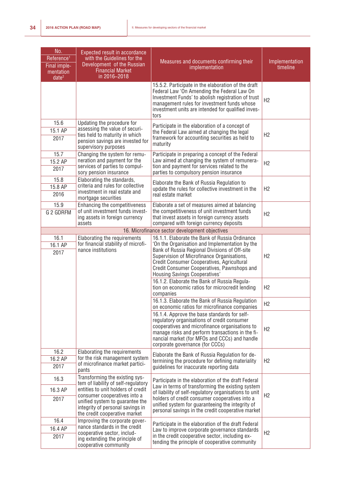| No.<br>Reference <sup>1</sup><br>Final imple-<br>mentation<br>date <sup>2</sup> | Expected result in accordance<br>with the Guidelines for the<br>Development of the Russian<br><b>Financial Market</b><br>in 2016-2018                      | Measures and documents confirming their<br>implementation                                                                                                                                                                                                                                                                     | Implementation<br>timeline |
|---------------------------------------------------------------------------------|------------------------------------------------------------------------------------------------------------------------------------------------------------|-------------------------------------------------------------------------------------------------------------------------------------------------------------------------------------------------------------------------------------------------------------------------------------------------------------------------------|----------------------------|
|                                                                                 |                                                                                                                                                            | 15.5.2. Participate in the elaboration of the draft<br>Federal Law 'On Amending the Federal Law On<br>Investment Funds' to abolish registration of trust<br>management rules for investment funds whose<br>investment units are intended for qualified inves-<br>tors                                                         | H <sub>2</sub>             |
| 15.6<br>15.1 AP<br>2017                                                         | Updating the procedure for<br>assessing the value of securi-<br>ties held to maturity in which<br>pension savings are invested for<br>supervisory purposes | Participate in the elaboration of a concept of<br>the Federal Law aimed at changing the legal<br>framework for accounting securities as held to<br>maturity                                                                                                                                                                   | H <sub>2</sub>             |
| 15.7<br>15.2 AP<br>2017                                                         | Changing the system for remu-<br>neration and payment for the<br>services of parties to compul-<br>sory pension insurance                                  | Participate in preparing a concept of the Federal<br>Law aimed at changing the system of remunera-<br>tion and payment for services related to the<br>parties to compulsory pension insurance                                                                                                                                 | H2                         |
| 15.8<br>15.8 AP<br>2016                                                         | Elaborating the standards,<br>criteria and rules for collective<br>investment in real estate and<br>mortgage securities                                    | Elaborate the Bank of Russia Regulation to<br>update the rules for collective investment in the<br>real estate market                                                                                                                                                                                                         | H2                         |
| 15.9<br>G 2 GDRFM                                                               | Enhancing the competitiveness<br>of unit investment funds invest-<br>ing assets in foreign currency<br>assets                                              | Elaborate a set of measures aimed at balancing<br>the competitiveness of unit investment funds<br>that invest assets in foreign currency assets<br>compared with foreign currency deposits                                                                                                                                    | H2                         |
|                                                                                 |                                                                                                                                                            | 16. Microfinance sector development objectives                                                                                                                                                                                                                                                                                |                            |
| 16.1<br>16.1 AP<br>2017                                                         | Elaborating the requirements<br>for financial stability of microfi-<br>nance institutions                                                                  | 16.1.1. Elaborate the Bank of Russia Ordinance<br>'On the Organisation and Implementation by the<br>Bank of Russia Regional Divisions of Off-site<br>Supervision of Microfinance Organisations,<br>Credit Consumer Cooperatives, Agricultural<br>Credit Consumer Cooperatives, Pawnshops and<br>Housing Savings Cooperatives' | H2                         |
|                                                                                 |                                                                                                                                                            | 16.1.2. Elaborate the Bank of Russia Regula-<br>tion on economic ratios for microcredit lending<br>companies                                                                                                                                                                                                                  | H2                         |
|                                                                                 |                                                                                                                                                            | 16.1.3. Elaborate the Bank of Russia Regulation<br>on economic ratios for microfinance companies                                                                                                                                                                                                                              | H <sub>2</sub>             |
|                                                                                 |                                                                                                                                                            | 16.1.4. Approve the base standards for self-<br>regulatory organisations of credit consumer<br>cooperatives and microfinance organisations to<br>manage risks and perform transactions in the fi-<br>nancial market (for MFOs and CCCs) and handle<br>corporate governance (for CCCs)                                         | H <sub>2</sub>             |
| 16.2<br>16.2 AP<br>2017                                                         | Elaborating the requirements<br>for the risk management system<br>of microfinance market partici-<br>pants                                                 | Elaborate the Bank of Russia Regulation for de-<br>termining the procedure for defining materiality<br>guidelines for inaccurate reporting data                                                                                                                                                                               | H <sub>2</sub>             |
| 16.3                                                                            | Transforming the existing sys-<br>tem of liability of self-regulatory                                                                                      | Participate in the elaboration of the draft Federal                                                                                                                                                                                                                                                                           |                            |
| 16.3 AP                                                                         | entities to unit holders of credit                                                                                                                         | Law in terms of transforming the existing system<br>of liability of self-regulatory organisations to unit                                                                                                                                                                                                                     |                            |
| 2017                                                                            | consumer cooperatives into a<br>unified system to guarantee the<br>integrity of personal savings in<br>the credit cooperative market                       | holders of credit consumer cooperatives into a<br>unified system for guaranteeing the integrity of<br>personal savings in the credit cooperative market                                                                                                                                                                       | H <sub>2</sub>             |
| 16.4<br>16.4 AP<br>2017                                                         | Improving the corporate gover-<br>nance standards in the credit<br>cooperative sector, includ-<br>ing extending the principle of<br>cooperative community  | Participate in the elaboration of the draft Federal<br>Law to improve corporate governance standards<br>in the credit cooperative sector, including ex-<br>tending the principle of cooperative community                                                                                                                     | H <sub>2</sub>             |